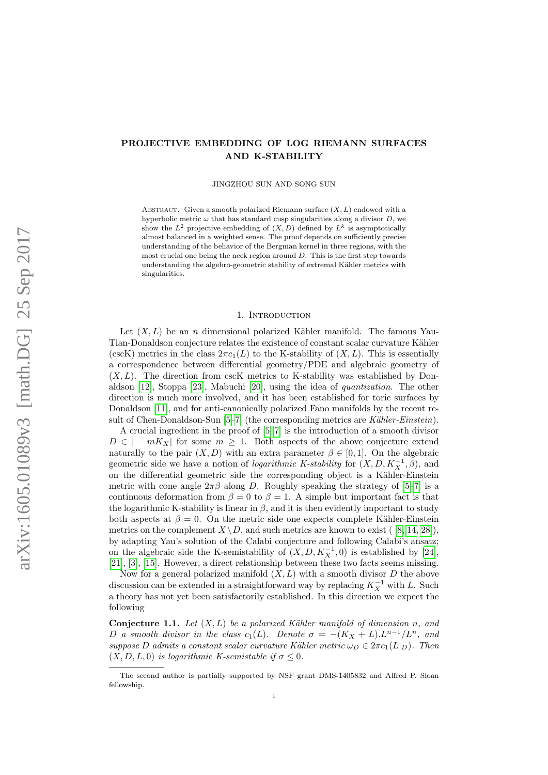## <span id="page-0-1"></span>PROJECTIVE EMBEDDING OF LOG RIEMANN SURFACES AND K-STABILITY

JINGZHOU SUN AND SONG SUN

ABSTRACT. Given a smooth polarized Riemann surface  $(X, L)$  endowed with a hyperbolic metric  $\omega$  that has standard cusp singularities along a divisor D, we show the  $L^2$  projective embedding of  $(X, D)$  defined by  $L^k$  is asymptotically almost balanced in a weighted sense. The proof depends on sufficiently precise understanding of the behavior of the Bergman kernel in three regions, with the most crucial one being the neck region around D. This is the first step towards understanding the algebro-geometric stability of extremal Kähler metrics with singularities.

### 1. INTRODUCTION

Let  $(X, L)$  be an *n* dimensional polarized Kähler manifold. The famous Yau-Tian-Donaldson conjecture relates the existence of constant scalar curvature Kähler (cscK) metrics in the class  $2\pi c_1(L)$  to the K-stability of  $(X, L)$ . This is essentially a correspondence between differential geometry/PDE and algebraic geometry of  $(X, L)$ . The direction from cscK metrics to K-stability was established by Donaldson [\[12\]](#page-21-0), Stoppa [\[23\]](#page-21-1), Mabuchi [\[20\]](#page-21-2), using the idea of quantization. The other direction is much more involved, and it has been established for toric surfaces by Donaldson [\[11\]](#page-21-3), and for anti-canonically polarized Fano manifolds by the recent result of Chen-Donaldson-Sun  $[5-7]$  $[5-7]$  (the corresponding metrics are Kähler-Einstein).

A crucial ingredient in the proof of [\[5](#page-20-0)[–7\]](#page-21-4) is the introduction of a smooth divisor  $D \in |-mK_X|$  for some  $m > 1$ . Both aspects of the above conjecture extend naturally to the pair  $(X, D)$  with an extra parameter  $\beta \in [0, 1]$ . On the algebraic geometric side we have a notion of *logarithmic K-stability* for  $(X, D, K_X^{-1}, \beta)$ , and on the differential geometric side the corresponding object is a Kähler-Einstein metric with cone angle  $2\pi\beta$  along D. Roughly speaking the strategy of [\[5–](#page-20-0)[7\]](#page-21-4) is a continuous deformation from  $\beta = 0$  to  $\beta = 1$ . A simple but important fact is that the logarithmic K-stability is linear in  $\beta$ , and it is then evidently important to study both aspects at  $\beta = 0$ . On the metric side one expects complete Kähler-Einstein metrics on the complement  $X \setminus D$ , and such metrics are known to exist ( [\[8,](#page-21-5) [14,](#page-21-6) [28\]](#page-21-7)). by adapting Yau's solution of the Calabi conjecture and following Calabi's ansatz; on the algebraic side the K-semistability of  $(X, D, K_X^{-1}, 0)$  is established by [\[24\]](#page-21-8), [\[21\]](#page-21-9), [\[3\]](#page-20-1), [\[15\]](#page-21-10). However, a direct relationship between these two facts seems missing.

Now for a general polarized manifold  $(X, L)$  with a smooth divisor D the above discussion can be extended in a straightforward way by replacing  $K_X^{-1}$  with L. Such a theory has not yet been satisfactorily established. In this direction we expect the following

<span id="page-0-0"></span>Conjecture 1.1. Let  $(X, L)$  be a polarized Kähler manifold of dimension n, and D a smooth divisor in the class  $c_1(L)$ . Denote  $\sigma = -(K_X + L) L^{n-1}/L^n$ , and suppose D admits a constant scalar curvature Kähler metric  $\omega_D \in 2\pi c_1(L|_D)$ . Then  $(X, D, L, 0)$  is logarithmic K-semistable if  $\sigma \leq 0$ .

The second author is partially supported by NSF grant DMS-1405832 and Alfred P. Sloan fellowship.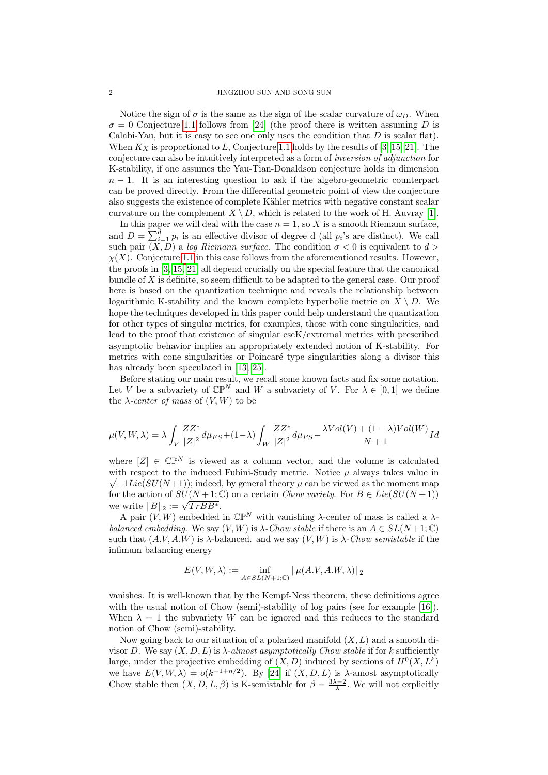Notice the sign of  $\sigma$  is the same as the sign of the scalar curvature of  $\omega_D$ . When  $\sigma = 0$  Conjecture [1.1](#page-0-0) follows from [\[24\]](#page-21-8) (the proof there is written assuming D is Calabi-Yau, but it is easy to see one only uses the condition that  $D$  is scalar flat). When  $K_X$  is proportional to L, Conjecture [1.1](#page-0-0) holds by the results of [\[3,](#page-20-1) [15,](#page-21-10) [21\]](#page-21-9). The conjecture can also be intuitively interpreted as a form of inversion of adjunction for K-stability, if one assumes the Yau-Tian-Donaldson conjecture holds in dimension  $n-1$ . It is an interesting question to ask if the algebro-geometric counterpart can be proved directly. From the differential geometric point of view the conjecture also suggests the existence of complete Kähler metrics with negative constant scalar curvature on the complement  $X \setminus D$ , which is related to the work of H. Auvray [\[1\]](#page-20-2).

In this paper we will deal with the case  $n = 1$ , so X is a smooth Riemann surface, and  $D = \sum_{i=1}^{d} p_i$  is an effective divisor of degree d (all  $p_i$ 's are distinct). We call such pair  $(X, D)$  a log Riemann surface. The condition  $\sigma < 0$  is equivalent to  $d >$  $\chi(X)$ . Conjecture [1.1](#page-0-0) in this case follows from the aforementioned results. However, the proofs in [\[3,](#page-20-1) [15,](#page-21-10) [21\]](#page-21-9) all depend crucially on the special feature that the canonical bundle of  $X$  is definite, so seem difficult to be adapted to the general case. Our proof here is based on the quantization technique and reveals the relationship between logarithmic K-stability and the known complete hyperbolic metric on  $X \setminus D$ . We hope the techniques developed in this paper could help understand the quantization for other types of singular metrics, for examples, those with cone singularities, and lead to the proof that existence of singular cscK/extremal metrics with prescribed asymptotic behavior implies an appropriately extended notion of K-stability. For metrics with cone singularities or Poincaré type singularities along a divisor this has already been speculated in [\[13,](#page-21-11) [25\]](#page-21-12).

Before stating our main result, we recall some known facts and fix some notation. Let V be a subvariety of  $\mathbb{CP}^N$  and W a subvariety of V. For  $\lambda \in [0,1]$  we define the  $\lambda$ -center of mass of  $(V, W)$  to be

$$
\mu(V,W,\lambda)=\lambda\int_V\frac{ZZ^*}{|Z|^2}d\mu_{FS}+(1-\lambda)\int_W\frac{ZZ^*}{|Z|^2}d\mu_{FS}-\frac{\lambda Vol(V)+(1-\lambda)Vol(W)}{N+1}Id
$$

where  $[Z] \in \mathbb{CP}^N$  is viewed as a column vector, and the volume is calculated with respect to the induced Fubini-Study metric. Notice  $\mu$  always takes value in  $\sqrt{-1}Lie(SU(N+1));$  indeed, by general theory  $\mu$  can be viewed as the moment map for the action of  $SU(N+1;\mathbb{C})$  on a certain Chow variety. For  $B \in Lie(SU(N+1))$ we write  $||B||_2 := \sqrt{TrBB^*}.$ 

A pair  $(V, W)$  embedded in  $\mathbb{CP}^N$  with vanishing  $\lambda$ -center of mass is called a  $\lambda$ balanced embedding. We say  $(V, W)$  is  $\lambda$ -Chow stable if there is an  $A \in SL(N+1; \mathbb{C})$ such that  $(A.V, A.W)$  is  $\lambda$ -balanced. and we say  $(V, W)$  is  $\lambda$ -*Chow semistable* if the infimum balancing energy

$$
E(V,W,\lambda):=\inf_{A\in SL(N+1;\mathbb{C})}\|\mu(A.V,A.W,\lambda)\|_2
$$

vanishes. It is well-known that by the Kempf-Ness theorem, these definitions agree with the usual notion of Chow (semi)-stability of log pairs (see for example [\[16\]](#page-21-13)). When  $\lambda = 1$  the subvariety W can be ignored and this reduces to the standard notion of Chow (semi)-stability.

Now going back to our situation of a polarized manifold  $(X, L)$  and a smooth divisor D. We say  $(X, D, L)$  is  $\lambda$ -almost asymptotically Chow stable if for k sufficiently large, under the projective embedding of  $(X, D)$  induced by sections of  $H^0(X, L^k)$ we have  $E(V, W, \lambda) = o(k^{-1+n/2})$ . By [\[24\]](#page-21-8) if  $(X, D, L)$  is  $\lambda$ -amost asymptotically Chow stable then  $(X, D, L, \beta)$  is K-semistable for  $\beta = \frac{3\lambda - 2}{\lambda}$ . We will not explicitly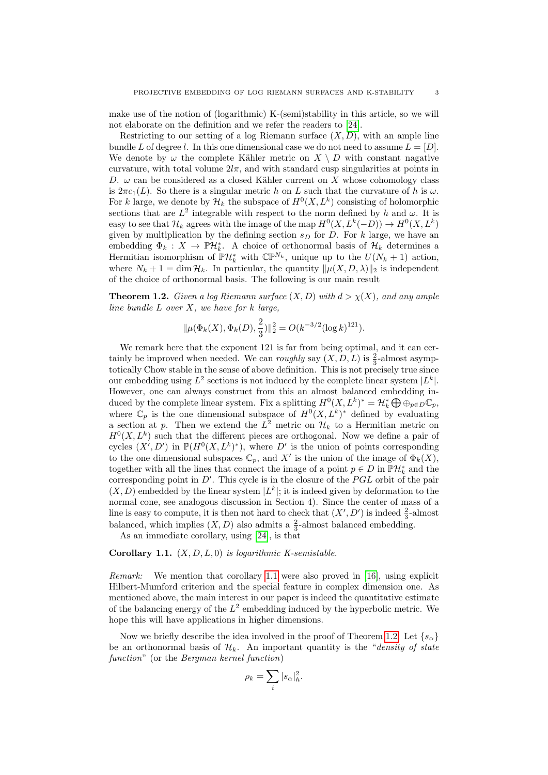make use of the notion of (logarithmic) K-(semi)stability in this article, so we will not elaborate on the definition and we refer the readers to [\[24\]](#page-21-8).

Restricting to our setting of a log Riemann surface  $(X, D)$ , with an ample line bundle L of degree l. In this one dimensional case we do not need to assume  $L = [D]$ . We denote by  $\omega$  the complete Kähler metric on  $X \setminus D$  with constant nagative curvature, with total volume  $2l\pi$ , and with standard cusp singularities at points in D.  $\omega$  can be considered as a closed Kähler current on X whose cohomology class is  $2\pi c_1(L)$ . So there is a singular metric h on L such that the curvature of h is  $\omega$ . For k large, we denote by  $\mathcal{H}_k$  the subspace of  $H^0(X, L^k)$  consisting of holomorphic sections that are  $L^2$  integrable with respect to the norm defined by h and  $\omega$ . It is easy to see that  $\mathcal{H}_k$  agrees with the image of the map  $H^0(X, L^k(-D)) \to H^0(X, L^k)$ given by multiplication by the defining section  $s_D$  for D. For k large, we have an embedding  $\Phi_k: X \to \mathbb{P}\mathcal{H}_k^*$ . A choice of orthonormal basis of  $\mathcal{H}_k$  determines a Hermitian isomorphism of  $\mathbb{P}\mathcal{H}_k^*$  with  $\mathbb{CP}^{N_k}$ , unique up to the  $U(N_k + 1)$  action, where  $N_k + 1 = \dim \mathcal{H}_k$ . In particular, the quantity  $\|\mu(X, D, \lambda)\|_2$  is independent of the choice of orthonormal basis. The following is our main result

<span id="page-2-1"></span>**Theorem 1.2.** Given a log Riemann surface  $(X, D)$  with  $d > \chi(X)$ , and any ample line bundle  $L$  over  $X$ , we have for  $k$  large,

$$
\|\mu(\Phi_k(X), \Phi_k(D), \frac{2}{3})\|_2^2 = O(k^{-3/2}(\log k)^{121}).
$$

We remark here that the exponent 121 is far from being optimal, and it can certainly be improved when needed. We can *roughly* say  $(X, D, L)$  is  $\frac{2}{3}$ -almost asymptotically Chow stable in the sense of above definition. This is not precisely true since our embedding using  $L^2$  sections is not induced by the complete linear system  $|L^k|$ . However, one can always construct from this an almost balanced embedding induced by the complete linear system. Fix a splitting  $H^0(X, L^k)^* = \mathcal{H}_k^* \bigoplus \oplus_{p \in D} \mathbb{C}_p$ , where  $\mathbb{C}_p$  is the one dimensional subspace of  $H^0(X,L^k)^*$  defined by evaluating a section at p. Then we extend the  $L^2$  metric on  $\mathcal{H}_k$  to a Hermitian metric on  $H^0(X, L^k)$  such that the different pieces are orthogonal. Now we define a pair of cycles  $(X', D')$  in  $\mathbb{P}(H^0(X, L^k)^*)$ , where D' is the union of points corresponding to the one dimensional subspaces  $\mathbb{C}_p$ , and X' is the union of the image of  $\Phi_k(X)$ , together with all the lines that connect the image of a point  $p \in D$  in  $\mathbb{P} \mathcal{H}_k^*$  and the corresponding point in  $D'$ . This cycle is in the closure of the  $PGL$  orbit of the pair  $(X, D)$  embedded by the linear system  $|L^k|$ ; it is indeed given by deformation to the normal cone, see analogous discussion in Section 4). Since the center of mass of a line is easy to compute, it is then not hard to check that  $(X', D')$  is indeed  $\frac{2}{3}$ -almost balanced, which implies  $(X, D)$  also admits a  $\frac{2}{3}$ -almost balanced embedding.

As an immediate corollary, using [\[24\]](#page-21-8), is that

<span id="page-2-0"></span>Corollary 1.1.  $(X, D, L, 0)$  is logarithmic K-semistable.

Remark: We mention that corollary [1.1](#page-2-0) were also proved in [\[16\]](#page-21-13), using explicit Hilbert-Mumford criterion and the special feature in complex dimension one. As mentioned above, the main interest in our paper is indeed the quantitative estimate of the balancing energy of the  $L^2$  embedding induced by the hyperbolic metric. We hope this will have applications in higher dimensions.

Now we briefly describe the idea involved in the proof of Theorem [1.2.](#page-2-1) Let  $\{s_{\alpha}\}\$ be an orthonormal basis of  $\mathcal{H}_k$ . An important quantity is the "density of state function" (or the Bergman kernel function)

$$
\rho_k = \sum_i |s_\alpha|_h^2.
$$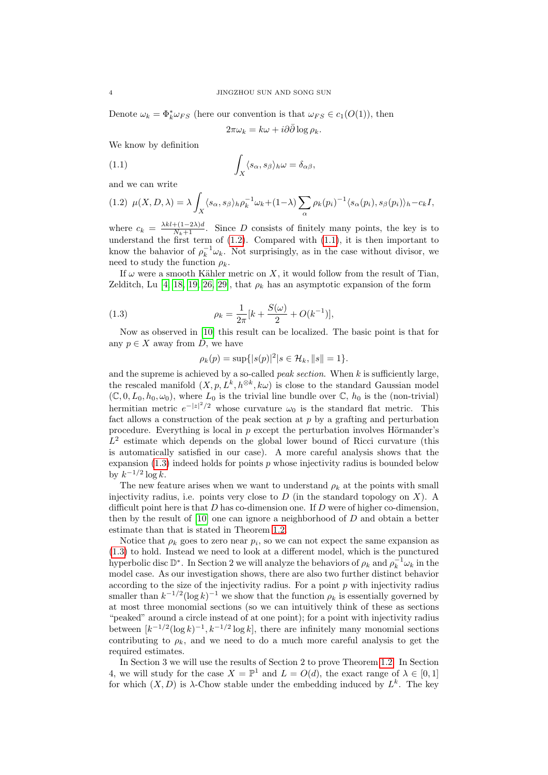Denote  $\omega_k = \Phi_k^* \omega_{FS}$  (here our convention is that  $\omega_{FS} \in c_1(O(1))$ , then

<span id="page-3-1"></span> $2\pi\omega_k = k\omega + i\partial\bar{\partial}\log\rho_k$ .

We know by definition

(1.1) 
$$
\int_X \langle s_\alpha, s_\beta \rangle_h \omega = \delta_{\alpha\beta},
$$

and we can write

<span id="page-3-0"></span>
$$
(1.2) \ \mu(X, D, \lambda) = \lambda \int_X \langle s_\alpha, s_\beta \rangle_h \rho_k^{-1} \omega_k + (1 - \lambda) \sum_\alpha \rho_k(p_i)^{-1} \langle s_\alpha(p_i), s_\beta(p_i) \rangle_h - c_k I,
$$

where  $c_k = \frac{\lambda k l + (1-2\lambda)d}{N_k+1}$ . Since D consists of finitely many points, the key is to understand the first term of  $(1.2)$ . Compared with  $(1.1)$ , it is then important to know the bahavior of  $\rho_k^{-1}\omega_k$ . Not surprisingly, as in the case without divisor, we need to study the function  $\rho_k$ .

If  $\omega$  were a smooth Kähler metric on X, it would follow from the result of Tian, Zelditch, Lu [\[4,](#page-20-3) [18,](#page-21-14) [19,](#page-21-15) [26,](#page-21-16) [29\]](#page-21-17), that  $\rho_k$  has an asymptotic expansion of the form

(1.3) 
$$
\rho_k = \frac{1}{2\pi} [k + \frac{S(\omega)}{2} + O(k^{-1})],
$$

Now as observed in [\[10\]](#page-21-18) this result can be localized. The basic point is that for any  $p \in X$  away from D, we have

<span id="page-3-2"></span>
$$
\rho_k(p) = \sup\{|s(p)|^2 | s \in \mathcal{H}_k, \|s\| = 1\}.
$$

and the supreme is achieved by a so-called *peak section*. When  $k$  is sufficiently large. the rescaled manifold  $(X, p, L^k, h^{\otimes k}, k\omega)$  is close to the standard Gaussian model  $(\mathbb{C}, 0, L_0, h_0, \omega_0)$ , where  $L_0$  is the trivial line bundle over  $\mathbb{C}, h_0$  is the (non-trivial) hermitian metric  $e^{-|z|^2/2}$  whose curvature  $\omega_0$  is the standard flat metric. This fact allows a construction of the peak section at  $p$  by a grafting and perturbation procedure. Everything is local in  $p$  except the perturbation involves Hörmander's  $L^2$  estimate which depends on the global lower bound of Ricci curvature (this is automatically satisfied in our case). A more careful analysis shows that the expansion  $(1.3)$  indeed holds for points p whose injectivity radius is bounded below by  $k^{-1/2} \log k$ .

The new feature arises when we want to understand  $\rho_k$  at the points with small injectivity radius, i.e. points very close to  $D$  (in the standard topology on  $X$ ). A difficult point here is that  $D$  has co-dimension one. If  $D$  were of higher co-dimension, then by the result of  $[10]$  one can ignore a neighborhood of  $D$  and obtain a better estimate than that is stated in Theorem [1.2.](#page-2-1)

Notice that  $\rho_k$  goes to zero near  $p_i$ , so we can not expect the same expansion as [\(1.3\)](#page-3-2) to hold. Instead we need to look at a different model, which is the punctured hyperbolic disc  $\mathbb{D}^*$ . In Section 2 we will analyze the behaviors of  $\rho_k$  and  $\rho_k^{-1}\omega_k$  in the model case. As our investigation shows, there are also two further distinct behavior according to the size of the injectivity radius. For a point  $p$  with injectivity radius smaller than  $k^{-1/2}(\log k)^{-1}$  we show that the function  $\rho_k$  is essentially governed by at most three monomial sections (so we can intuitively think of these as sections "peaked" around a circle instead of at one point); for a point with injectivity radius between  $[k^{-1/2}(\log k)^{-1}, k^{-1/2}(\log k)]$ , there are infinitely many monomial sections contributing to  $\rho_k$ , and we need to do a much more careful analysis to get the required estimates.

In Section 3 we will use the results of Section 2 to prove Theorem [1.2.](#page-2-1) In Section 4, we will study for the case  $X = \mathbb{P}^1$  and  $L = O(d)$ , the exact range of  $\lambda \in [0, 1]$ for which  $(X, D)$  is  $\lambda$ -Chow stable under the embedding induced by  $L^k$ . The key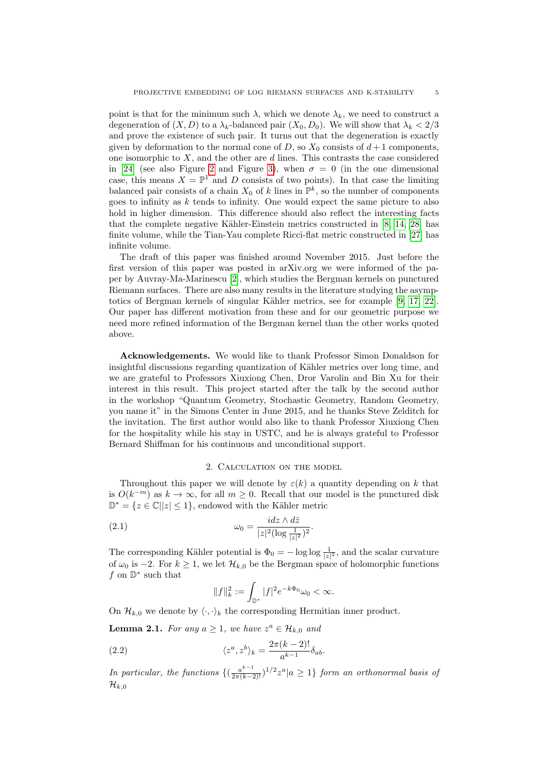point is that for the minimum such  $\lambda$ , which we denote  $\lambda_k$ , we need to construct a degeneration of  $(X, D)$  to a  $\lambda_k$ -balanced pair  $(X_0, D_0)$ . We will show that  $\lambda_k < 2/3$ and prove the existence of such pair. It turns out that the degeneration is exactly given by deformation to the normal cone of D, so  $X_0$  consists of  $d+1$  components. one isomorphic to  $X$ , and the other are  $d$  lines. This contrasts the case considered in [\[24\]](#page-21-8) (see also Figure [2](#page-20-4) and Figure [3\)](#page-20-5), when  $\sigma = 0$  (in the one dimensional case, this means  $X = \mathbb{P}^1$  and D consists of two points). In that case the limiting balanced pair consists of a chain  $X_0$  of k lines in  $\mathbb{P}^k$ , so the number of components goes to infinity as  $k$  tends to infinity. One would expect the same picture to also hold in higher dimension. This difference should also reflect the interesting facts that the complete negative Kähler-Einstein metrics constructed in  $[8, 14, 28]$  $[8, 14, 28]$  $[8, 14, 28]$  has finite volume, while the Tian-Yau complete Ricci-flat metric constructed in [\[27\]](#page-21-19) has infinite volume.

The draft of this paper was finished around November 2015. Just before the first version of this paper was posted in arXiv.org we were informed of the paper by Auvray-Ma-Marinescu [\[2\]](#page-20-6), which studies the Bergman kernels on punctured Riemann surfaces. There are also many results in the literature studying the asymptotics of Bergman kernels of singular Kähler metrics, see for example  $[9, 17, 22]$  $[9, 17, 22]$  $[9, 17, 22]$ . Our paper has different motivation from these and for our geometric purpose we need more refined information of the Bergman kernel than the other works quoted above.

Acknowledgements. We would like to thank Professor Simon Donaldson for insightful discussions regarding quantization of Kähler metrics over long time, and we are grateful to Professors Xiuxiong Chen, Dror Varolin and Bin Xu for their interest in this result. This project started after the talk by the second author in the workshop "Quantum Geometry, Stochastic Geometry, Random Geometry, you name it" in the Simons Center in June 2015, and he thanks Steve Zelditch for the invitation. The first author would also like to thank Professor Xiuxiong Chen for the hospitality while his stay in USTC, and he is always grateful to Professor Bernard Shiffman for his continuous and unconditional support.

### 2. Calculation on the model

Throughout this paper we will denote by  $\varepsilon(k)$  a quantity depending on k that is  $O(k^{-m})$  as  $k \to \infty$ , for all  $m \geq 0$ . Recall that our model is the punctured disk  $\mathbb{D}^* = \{z \in \mathbb{C} \mid |z| \leq 1\}$ , endowed with the Kähler metric

(2.1) 
$$
\omega_0 = \frac{idz \wedge d\bar{z}}{|z|^2 (\log \frac{1}{|z|^2})^2}.
$$

The corresponding Kähler potential is  $\Phi_0 = -\log \log \frac{1}{|z|^2}$ , and the scalar curvature of  $\omega_0$  is −2. For  $k \geq 1$ , we let  $\mathcal{H}_{k,0}$  be the Bergman space of holomorphic functions f on  $\mathbb{D}^*$  such that

$$
||f||_k^2 := \int_{\mathbb{D}^*} |f|^2 e^{-k\Phi_0} \omega_0 < \infty.
$$

On  $\mathcal{H}_{k,0}$  we denote by  $\langle \cdot, \cdot \rangle_k$  the corresponding Hermitian inner product.

<span id="page-4-0"></span>**Lemma 2.1.** For any  $a \geq 1$ , we have  $z^a \in \mathcal{H}_{k,0}$  and

(2.2) 
$$
\langle z^a, z^b \rangle_k = \frac{2\pi (k-2)!}{a^{k-1}} \delta_{ab}.
$$

In particular, the functions  $\{(\frac{a^{k-1}}{2\pi(k-2)!})^{1/2}z^a|a\geq 1\}$  form an orthonormal basis of  $\mathcal{H}_{k,0}$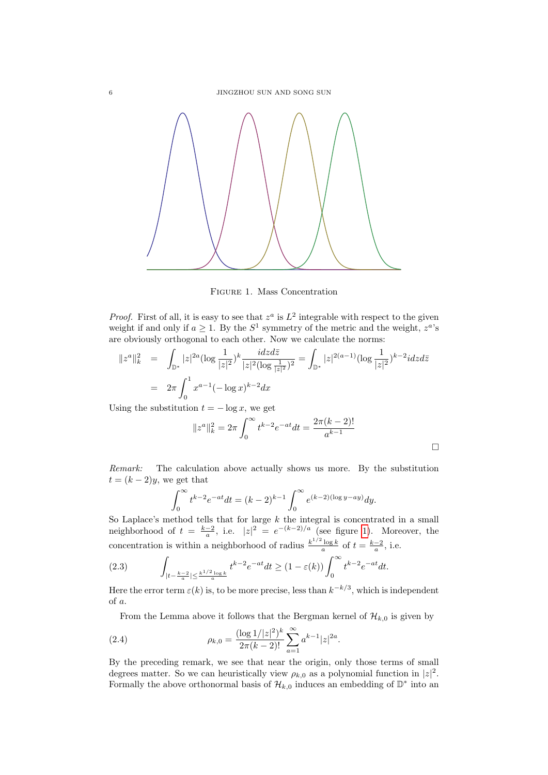

<span id="page-5-0"></span>Figure 1. Mass Concentration

*Proof.* First of all, it is easy to see that  $z^a$  is  $L^2$  integrable with respect to the given weight if and only if  $a \geq 1$ . By the  $S^1$  symmetry of the metric and the weight,  $z^a$ 's are obviously orthogonal to each other. Now we calculate the norms:

$$
||z^{a}||_{k}^{2} = \int_{\mathbb{D}^{*}} |z|^{2a} (\log \frac{1}{|z|^{2}})^{k} \frac{i dz d\bar{z}}{|z|^{2} (\log \frac{1}{|z|^{2}})^{2}} = \int_{\mathbb{D}^{*}} |z|^{2(a-1)} (\log \frac{1}{|z|^{2}})^{k-2} i dz d\bar{z}
$$

$$
= 2\pi \int_{0}^{1} x^{a-1} (-\log x)^{k-2} dx
$$

Using the substitution  $t = -\log x$ , we get

$$
||z^{a}||_{k}^{2} = 2\pi \int_{0}^{\infty} t^{k-2} e^{-at} dt = \frac{2\pi (k-2)!}{a^{k-1}}
$$

Remark: The calculation above actually shows us more. By the substitution  $t = (k-2)y$ , we get that

$$
\int_0^{\infty} t^{k-2} e^{-at} dt = (k-2)^{k-1} \int_0^{\infty} e^{(k-2)(\log y - ay)} dy.
$$

So Laplace's method tells that for large  $k$  the integral is concentrated in a small neighborhood of  $t = \frac{k-2}{a}$ , i.e.  $|z|^2 = e^{-(k-2)/a}$  (see figure [1\)](#page-5-0). Moreover, the concentration is within a neighborhood of radius  $\frac{k^{1/2} \log k}{a}$  of  $t = \frac{k-2}{a}$ , i.e.

<span id="page-5-1"></span>(2.3) 
$$
\int_{|t-\frac{k-2}{a}| \leq \frac{k^{1/2} \log k}{a}} t^{k-2} e^{-at} dt \geq (1-\varepsilon(k)) \int_{0}^{\infty} t^{k-2} e^{-at} dt.
$$

Here the error term  $\varepsilon(k)$  is, to be more precise, less than  $k^{-k/3}$ , which is independent of a.

From the Lemma above it follows that the Bergman kernel of  $\mathcal{H}_{k,0}$  is given by

(2.4) 
$$
\rho_{k,0} = \frac{(\log 1/|z|^2)^k}{2\pi (k-2)!} \sum_{a=1}^{\infty} a^{k-1} |z|^{2a}.
$$

By the preceding remark, we see that near the origin, only those terms of small degrees matter. So we can heuristically view  $\rho_{k,0}$  as a polynomial function in  $|z|^2$ . Formally the above orthonormal basis of  $\mathcal{H}_{k,0}$  induces an embedding of  $\mathbb{D}^*$  into an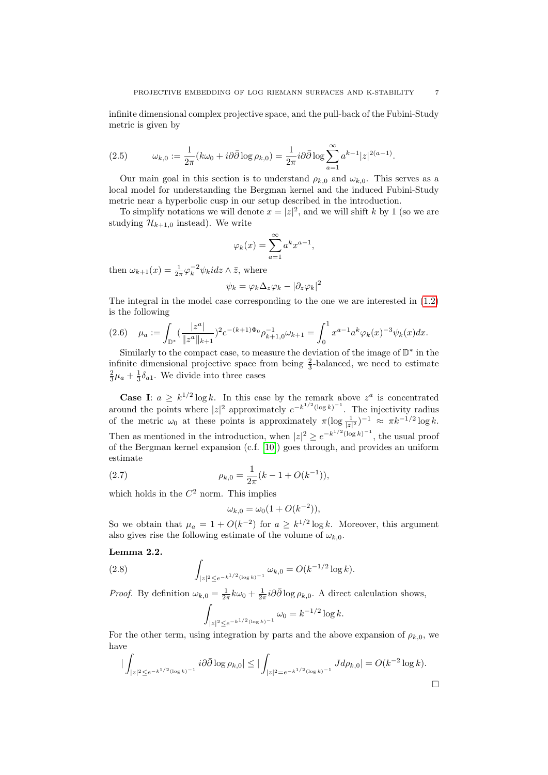infinite dimensional complex projective space, and the pull-back of the Fubini-Study metric is given by

(2.5) 
$$
\omega_{k,0} := \frac{1}{2\pi} (k\omega_0 + i\partial\bar{\partial}\log\rho_{k,0}) = \frac{1}{2\pi} i\partial\bar{\partial}\log\sum_{a=1}^{\infty} a^{k-1} |z|^{2(a-1)}.
$$

Our main goal in this section is to understand  $\rho_{k,0}$  and  $\omega_{k,0}$ . This serves as a local model for understanding the Bergman kernel and the induced Fubini-Study metric near a hyperbolic cusp in our setup described in the introduction.

To simplify notations we will denote  $x = |z|^2$ , and we will shift k by 1 (so we are studying  $\mathcal{H}_{k+1,0}$  instead). We write

$$
\varphi_k(x) = \sum_{a=1}^{\infty} a^k x^{a-1},
$$

then  $\omega_{k+1}(x) = \frac{1}{2\pi} \varphi_k^{-2} \psi_k i dz \wedge \overline{z}$ , where

$$
\psi_k = \varphi_k \Delta_z \varphi_k - |\partial_z \varphi_k|^2
$$

The integral in the model case corresponding to the one we are interested in [\(1.2\)](#page-3-0) is the following

$$
(2.6)\quad \mu_a := \int_{\mathbb{D}^*} \left(\frac{|z^a|}{\|z^a\|_{k+1}}\right)^2 e^{-(k+1)\Phi_0} \rho_{k+1,0}^{-1} \omega_{k+1} = \int_0^1 x^{a-1} a^k \varphi_k(x)^{-3} \psi_k(x) dx.
$$

Similarly to the compact case, to measure the deviation of the image of  $\mathbb{D}^*$  in the infinite dimensional projective space from being  $\frac{2}{3}$ -balanced, we need to estimate  $\frac{2}{3}\mu_a + \frac{1}{3}\delta_{a1}$ . We divide into three cases

**Case I:**  $a \geq k^{1/2} \log k$ . In this case by the remark above  $z^a$  is concentrated around the points where  $|z|^2$  approximately  $e^{-k^{1/2}(\log k)^{-1}}$ . The injectivity radius of the metric  $\omega_0$  at these points is approximately  $\pi(\log \frac{1}{|z|^2})^{-1} \approx \pi k^{-1/2} \log k$ . Then as mentioned in the introduction, when  $|z|^2 \ge e^{-k^{1/2}(\log k)^{-1}}$ , the usual proof of the Bergman kernel expansion (c.f. [\[10\]](#page-21-18)) goes through, and provides an uniform estimate

(2.7) 
$$
\rho_{k,0} = \frac{1}{2\pi} (k - 1 + O(k^{-1})),
$$

which holds in the  $C^2$  norm. This implies

<span id="page-6-1"></span>
$$
\omega_{k,0} = \omega_0 (1 + O(k^{-2})),
$$

So we obtain that  $\mu_a = 1 + O(k^{-2})$  for  $a \geq k^{1/2} \log k$ . Moreover, this argument also gives rise the following estimate of the volume of  $\omega_{k,0}$ .

### <span id="page-6-0"></span>Lemma 2.2.

(2.8) 
$$
\int_{|z|^2 \le e^{-k^{1/2}(\log k)^{-1}}} \omega_{k,0} = O(k^{-1/2} \log k).
$$

*Proof.* By definition  $\omega_{k,0} = \frac{1}{2\pi} k \omega_0 + \frac{1}{2\pi} i \partial \bar{\partial} \log \rho_{k,0}$ . A direct calculation shows,

$$
\int_{|z|^2 \le e^{-k^{1/2}(\log k)^{-1}}} \omega_0 = k^{-1/2} \log k.
$$

For the other term, using integration by parts and the above expansion of  $\rho_{k,0}$ , we have

$$
\left| \int_{|z|^2 \le e^{-k^{1/2}(\log k)^{-1}}} i \partial \bar{\partial} \log \rho_{k,0} \right| \le \left| \int_{|z|^2 = e^{-k^{1/2}(\log k)^{-1}}} J d\rho_{k,0} \right| = O(k^{-2} \log k).
$$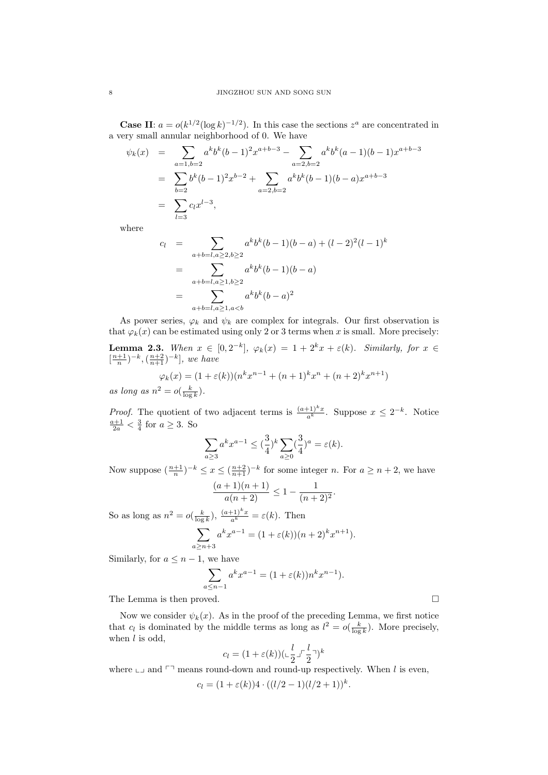**Case II:**  $a = o(k^{1/2}(\log k)^{-1/2})$ . In this case the sections  $z^a$  are concentrated in a very small annular neighborhood of 0. We have

$$
\psi_k(x) = \sum_{\substack{a=1, b=2 \\ b=2}} a^k b^k (b-1)^2 x^{a+b-3} - \sum_{\substack{a=2, b=2 \\ a=2, b=2}} a^k b^k (a-1)(b-1) x^{a+b-3}
$$

$$
= \sum_{b=2} b^k (b-1)^2 x^{b-2} + \sum_{a=2, b=2} a^k b^k (b-1)(b-a) x^{a+b-3}
$$

$$
= \sum_{l=3} c_l x^{l-3},
$$

where

$$
c_l = \sum_{a+b=l, a\geq 2, b\geq 2} a^k b^k (b-1)(b-a) + (l-2)^2 (l-1)^k
$$
  
= 
$$
\sum_{a+b=l, a\geq 1, b\geq 2} a^k b^k (b-1)(b-a)
$$
  
= 
$$
\sum_{a+b=l, a\geq 1, a
$$

As power series,  $\varphi_k$  and  $\psi_k$  are complex for integrals. Our first observation is that  $\varphi_k(x)$  can be estimated using only 2 or 3 terms when x is small. More precisely:

<span id="page-7-0"></span>**Lemma 2.3.** When  $x \in [0, 2^{-k}]$ ,  $\varphi_k(x) = 1 + 2^k x + \varepsilon(k)$ . Similarly, for  $x \in$  $\left[\frac{n+1}{n}\right)^{-k}, \left(\frac{n+2}{n+1}\right)^{-k}, we have$  $\varphi_k(x) = (1 + \varepsilon(k))(n^k x^{n-1} + (n+1)^k x^n + (n+2)^k x^{n+1})$ 

as long as  $n^2 = o(\frac{k}{\log k})$ .

*Proof.* The quotient of two adjacent terms is  $\frac{(a+1)^k x}{a^k}$ . Suppose  $x \leq 2^{-k}$ . Notice  $\frac{a+1}{2a} < \frac{3}{4}$  for  $a \ge 3$ . So

$$
\sum_{a\geq 3} a^k x^{a-1} \leq (\frac{3}{4})^k \sum_{a\geq 0} (\frac{3}{4})^a = \varepsilon(k).
$$

Now suppose  $\left(\frac{n+1}{n}\right)^{-k} \leq x \leq \left(\frac{n+2}{n+1}\right)^{-k}$  for some integer n. For  $a \geq n+2$ , we have

$$
\frac{(a+1)(n+1)}{a(n+2)} \le 1 - \frac{1}{(n+2)^2}.
$$

So as long as  $n^2 = o(\frac{k}{\log k}), \frac{(a+1)^k x}{a^k} = \varepsilon(k)$ . Then

$$
\sum_{a \ge n+3} a^k x^{a-1} = (1 + \varepsilon(k))(n+2)^k x^{n+1}).
$$

Similarly, for  $a \leq n-1$ , we have

$$
\sum_{a \le n-1} a^k x^{a-1} = (1 + \varepsilon(k)) n^k x^{n-1}.
$$

The Lemma is then proved.  $\hfill \square$ 

Now we consider  $\psi_k(x)$ . As in the proof of the preceding Lemma, we first notice that  $c_l$  is dominated by the middle terms as long as  $l^2 = o(\frac{k}{\log k})$ . More precisely, when  $l$  is odd,

$$
c_l = (1 + \varepsilon(k)) (\mathbf{L} \frac{l}{2} \mathbf{L} \mathbf{L} \frac{l}{2} \mathbf{L})^k
$$

where  $\Box$  and  $\Box$  means round-down and round-up respectively. When l is even,

$$
c_l = (1 + \varepsilon(k))4 \cdot ((l/2 - 1)(l/2 + 1))^k.
$$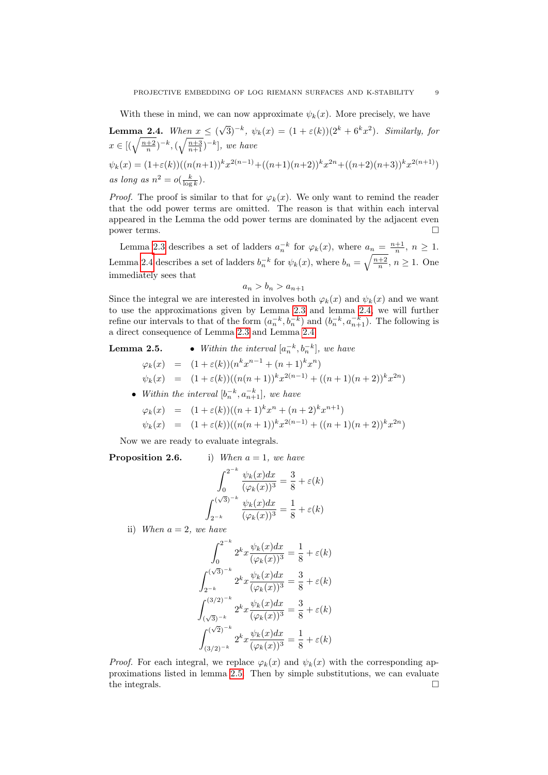With these in mind, we can now approximate  $\psi_k(x)$ . More precisely, we have

<span id="page-8-0"></span>**Lemma 2.4.** When  $x \leq 0$  $(\sqrt{3})^{-k}$ ,  $\psi_k(x) = (1 + \varepsilon(k))(2^k + 6^kx^2)$ . Similarly, for  $x \in [(\sqrt{\frac{n+2}{n}})^{-k}, (\sqrt{\frac{n+3}{n+1}})^{-k}],$  we have  $\psi_k(x) = (1+\varepsilon(k))((n(n+1))^{k}x^{2(n-1)} + ((n+1)(n+2))^{k}x^{2n} + ((n+2)(n+3))^{k}x^{2(n+1)})$ as long as  $n^2 = o(\frac{k}{\log k})$ .

*Proof.* The proof is similar to that for  $\varphi_k(x)$ . We only want to remind the reader that the odd power terms are omitted. The reason is that within each interval appeared in the Lemma the odd power terms are dominated by the adjacent even power terms.

Lemma [2.3](#page-7-0) describes a set of ladders  $a_n^{-k}$  for  $\varphi_k(x)$ , where  $a_n = \frac{n+1}{n}$ ,  $n \ge 1$ . Lemma [2.4](#page-8-0) describes a set of ladders  $b_n^{-k}$  for  $\psi_k(x)$ , where  $b_n = \sqrt{\frac{n+2}{n}}$ ,  $n \ge 1$ . One immediately sees that

$$
a_n > b_n > a_{n+1}
$$

Since the integral we are interested in involves both  $\varphi_k(x)$  and  $\psi_k(x)$  and we want to use the approximations given by Lemma [2.3](#page-7-0) and lemma [2.4,](#page-8-0) we will further refine our intervals to that of the form  $(a_n^{-k}, b_n^{-k})$  and  $(b_n^{-k}, a_{n+1}^{-k})$ . The following is a direct consequence of Lemma [2.3](#page-7-0) and Lemma [2.4.](#page-8-0)

# **Lemma 2.5.** • Within the interval  $[a_n^{-k}, b_n^{-k}]$ , we have

 $\varphi_k(x) = (1 + \varepsilon(k)) (n^k x^{n-1} + (n+1)^k x^n)$  $\psi_k(x) = (1 + \varepsilon(k))((n(n+1))^{k}x^{2(n-1)} + ((n+1)(n+2))^{k}x^{2n})$ 

• Within the interval  $[b_n^{-k}, a_{n+1}^{-k}]$ , we have

$$
\varphi_k(x) = (1 + \varepsilon(k))((n+1)^k x^n + (n+2)^k x^{n+1})
$$
  

$$
\psi_k(x) = (1 + \varepsilon(k))((n(n+1))^k x^{2(n-1)} + ((n+1)(n+2))^k x^{2n})
$$

Now we are ready to evaluate integrals.

**Proposition 2.6.** i)  $W$ 

When 
$$
a = 1
$$
, we have

$$
\int_0^{2^{-k}} \frac{\psi_k(x)dx}{(\varphi_k(x))^3} = \frac{3}{8} + \varepsilon(k)
$$

$$
\int_{2^{-k}}^{(\sqrt{3})^{-k}} \frac{\psi_k(x)dx}{(\varphi_k(x))^3} = \frac{1}{8} + \varepsilon(k)
$$

ii) When  $a = 2$ , we have

$$
\int_0^{2^{-k}} 2^k x \frac{\psi_k(x) dx}{(\varphi_k(x))^3} = \frac{1}{8} + \varepsilon(k)
$$

$$
\int_{2^{-k}}^{(\sqrt{3})^{-k}} 2^k x \frac{\psi_k(x) dx}{(\varphi_k(x))^3} = \frac{3}{8} + \varepsilon(k)
$$

$$
\int_{(\sqrt{3})^{-k}}^{(3/2)^{-k}} 2^k x \frac{\psi_k(x) dx}{(\varphi_k(x))^3} = \frac{3}{8} + \varepsilon(k)
$$

$$
\int_{(3/2)^{-k}}^{(\sqrt{2})^{-k}} 2^k x \frac{\psi_k(x) dx}{(\varphi_k(x))^3} = \frac{1}{8} + \varepsilon(k)
$$

*Proof.* For each integral, we replace  $\varphi_k(x)$  and  $\psi_k(x)$  with the corresponding approximations listed in lemma [2.5.](#page-0-1) Then by simple substitutions, we can evaluate the integrals.  $\hfill \square$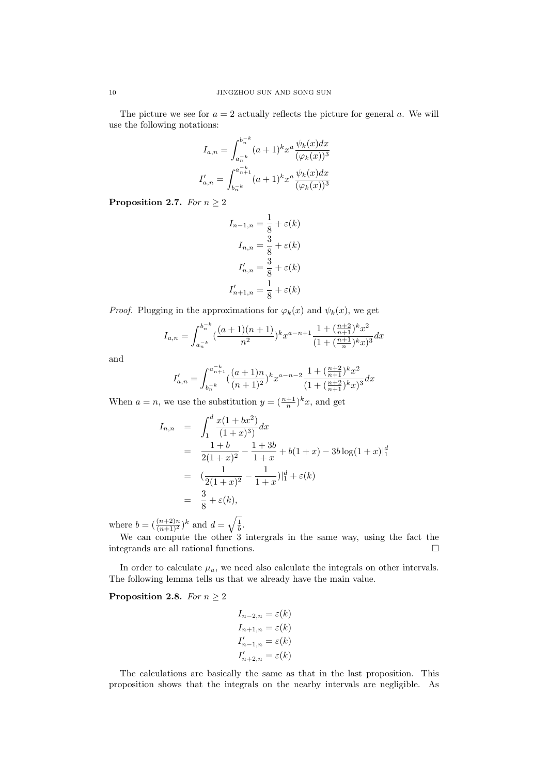The picture we see for  $a = 2$  actually reflects the picture for general a. We will use the following notations:

$$
I_{a,n} = \int_{a_n^{-k}}^{b_n^{-k}} (a+1)^k x^a \frac{\psi_k(x) dx}{(\varphi_k(x))^3}
$$

$$
I'_{a,n} = \int_{b_n^{-k}}^{a_{n+1}^{-k}} (a+1)^k x^a \frac{\psi_k(x) dx}{(\varphi_k(x))^3}
$$

Proposition 2.7. For  $n \geq 2$ 

$$
I_{n-1,n} = \frac{1}{8} + \varepsilon(k)
$$

$$
I_{n,n} = \frac{3}{8} + \varepsilon(k)
$$

$$
I'_{n,n} = \frac{3}{8} + \varepsilon(k)
$$

$$
I'_{n+1,n} = \frac{1}{8} + \varepsilon(k)
$$

*Proof.* Plugging in the approximations for  $\varphi_k(x)$  and  $\psi_k(x)$ , we get

$$
I_{a,n} = \int_{a_n^{-k}}^{b_n^{-k}} \left(\frac{(a+1)(n+1)}{n^2}\right)^k x^{a-n+1} \frac{1 + \left(\frac{n+2}{n+1}\right)^k x^2}{(1 + \left(\frac{n+1}{n}\right)^k x)^3} dx
$$

and

$$
I'_{a,n}=\int_{b_n^{-k}}^{a_{n+1}^{-k}}(\frac{(a+1)n}{(n+1)^2})^k x^{a-n-2}\frac{1+(\frac{n+2}{n+1})^k x^2}{(1+(\frac{n+2}{n+1})^k x)^3}dx
$$

When  $a = n$ , we use the substitution  $y = \left(\frac{n+1}{n}\right)^k x$ , and get

$$
I_{n,n} = \int_{1}^{d} \frac{x(1+bx^2)}{(1+x)^3} dx
$$
  
=  $\frac{1+b}{2(1+x)^2} - \frac{1+3b}{1+x} + b(1+x) - 3b \log(1+x)|_1^d$   
=  $(\frac{1}{2(1+x)^2} - \frac{1}{1+x})|_1^d + \varepsilon(k)$   
=  $\frac{3}{8} + \varepsilon(k),$ 

where  $b = (\frac{(n+2)n}{(n+1)^2})^k$  and  $d = \sqrt{\frac{1}{b}}$ .

We can compute the other 3 intergrals in the same way, using the fact the integrands are all rational functions.  $\hfill \Box$ 

In order to calculate  $\mu_a$ , we need also calculate the integrals on other intervals. The following lemma tells us that we already have the main value.

## <span id="page-9-0"></span>**Proposition 2.8.** For  $n \geq 2$

$$
I_{n-2,n} = \varepsilon(k)
$$
  
\n
$$
I_{n+1,n} = \varepsilon(k)
$$
  
\n
$$
I'_{n-1,n} = \varepsilon(k)
$$
  
\n
$$
I'_{n+2,n} = \varepsilon(k)
$$

The calculations are basically the same as that in the last proposition. This proposition shows that the integrals on the nearby intervals are negligible. As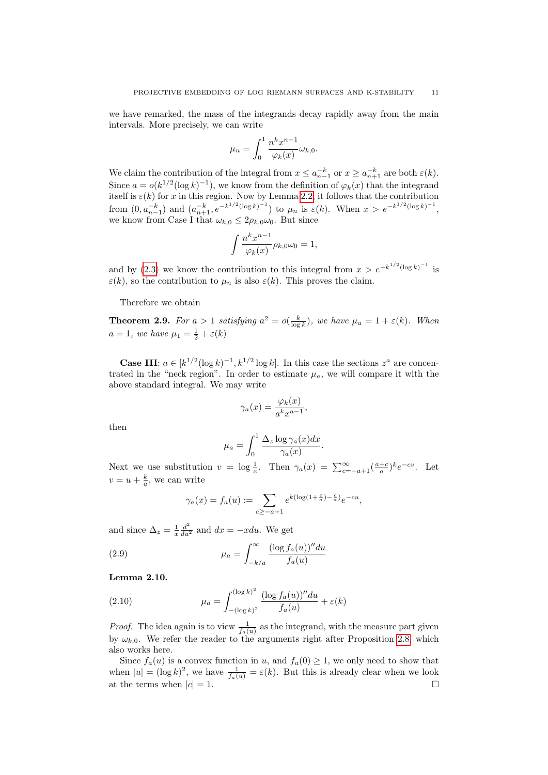we have remarked, the mass of the integrands decay rapidly away from the main intervals. More precisely, we can write

$$
\mu_n = \int_0^1 \frac{n^k x^{n-1}}{\varphi_k(x)} \omega_{k,0}.
$$

We claim the contribution of the integral from  $x \le a_{n-1}^{-k}$  or  $x \ge a_{n+1}^{-k}$  are both  $\varepsilon(k)$ . Since  $a = o(k^{1/2}(\log k)^{-1})$ , we know from the definition of  $\varphi_k(x)$  that the integrand itself is  $\varepsilon(k)$  for x in this region. Now by Lemma [2.2,](#page-6-0) it follows that the contribution from  $(0, a_{n-1}^{-k})$  and  $(a_{n+1}^{-k}, e^{-k^{1/2}(\log k)^{-1}})$  to  $\mu_n$  is  $\varepsilon(k)$ . When  $x > e^{-k^{1/2}(\log k)^{-1}}$ , we know from Case I that  $\omega_{k,0} \leq 2\rho_{k,0}\omega_0$ . But since

$$
\int \frac{n^k x^{n-1}}{\varphi_k(x)} \rho_{k,0} \omega_0 = 1,
$$

and by [\(2.3\)](#page-5-1) we know the contribution to this integral from  $x > e^{-k^{1/2}(\log k)^{-1}}$  is  $\varepsilon(k)$ , so the contribution to  $\mu_n$  is also  $\varepsilon(k)$ . This proves the claim.

Therefore we obtain

**Theorem 2.9.** For  $a > 1$  satisfying  $a^2 = o(\frac{k}{\log k})$ , we have  $\mu_a = 1 + \varepsilon(k)$ . When  $a=1$ , we have  $\mu_1=\frac{1}{2}+\varepsilon(k)$ 

**Case III:**  $a \in [k^{1/2}(\log k)^{-1}, k^{1/2}(\log k)]$ . In this case the sections  $z^a$  are concentrated in the "neck region". In order to estimate  $\mu_a$ , we will compare it with the above standard integral. We may write

$$
\gamma_a(x) = \frac{\varphi_k(x)}{a^k x^{a-1}},
$$

then

$$
\mu_a = \int_0^1 \frac{\Delta_z \log \gamma_a(x) dx}{\gamma_a(x)}.
$$

Next we use substitution  $v = \log \frac{1}{x}$ . Then  $\gamma_a(x) = \sum_{c=-a+1}^{\infty} (\frac{a+c}{a})^k e^{-cv}$ . Let  $v = u + \frac{k}{a}$ , we can write

$$
\gamma_a(x) = f_a(u) := \sum_{c \ge -a+1} e^{k(\log(1 + \frac{c}{a}) - \frac{c}{a})} e^{-cu},
$$

and since  $\Delta_z = \frac{1}{x} \frac{d^2}{du^2}$  and  $dx = -xdu$ . We get

(2.9) 
$$
\mu_a = \int_{-k/a}^{\infty} \frac{(\log f_a(u))'' du}{f_a(u)}
$$

Lemma 2.10.

(2.10) 
$$
\mu_a = \int_{-(\log k)^2}^{(\log k)^2} \frac{(\log f_a(u))'' du}{f_a(u)} + \varepsilon(k)
$$

*Proof.* The idea again is to view  $\frac{1}{f_a(u)}$  as the integrand, with the measure part given by  $\omega_{k,0}$ . We refer the reader to the arguments right after Proposition [2.8,](#page-9-0) which also works here.

Since  $f_a(u)$  is a convex function in u, and  $f_a(0) \geq 1$ , we only need to show that when  $|u| = (\log k)^2$ , we have  $\frac{1}{f_a(u)} = \varepsilon(k)$ . But this is already clear when we look at the terms when  $|c| = 1$ .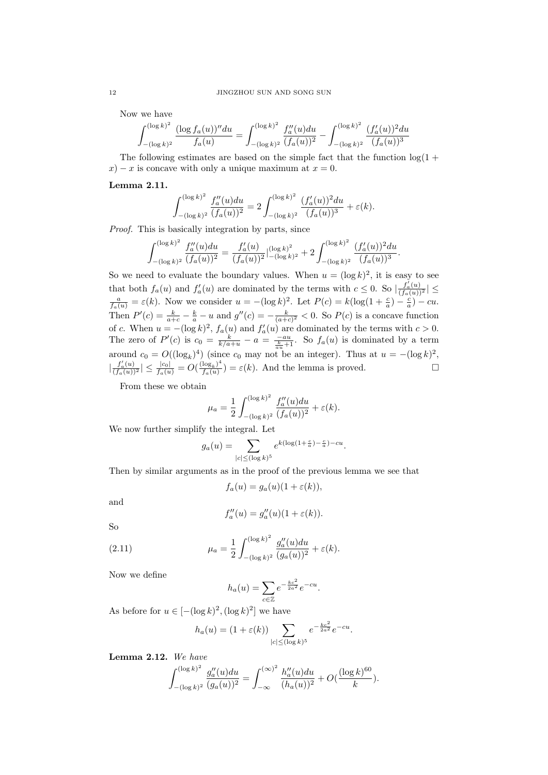Now we have

$$
\int_{-(\log k)^2}^{(\log k)^2} \frac{(\log f_a(u))'' du}{f_a(u)} = \int_{-(\log k)^2}^{(\log k)^2} \frac{f_a''(u) du}{(f_a(u))^2} - \int_{-(\log k)^2}^{(\log k)^2} \frac{(f_a'(u))^2 du}{(f_a(u))^3}
$$

The following estimates are based on the simple fact that the function  $\log(1 +$  $x - x$  is concave with only a unique maximum at  $x = 0$ .

### Lemma 2.11.

$$
\int_{-(\log k)^2}^{(\log k)^2} \frac{f_a''(u)du}{(f_a(u))^2} = 2 \int_{-(\log k)^2}^{(\log k)^2} \frac{(f_a'(u))^2 du}{(f_a(u))^3} + \varepsilon(k).
$$

Proof. This is basically integration by parts, since

$$
\int_{-(\log k)^2}^{(\log k)^2} \frac{f_a''(u)du}{(f_a(u))^2} = \frac{f_a'(u)}{(f_a(u))^2} \Big|_{-(\log k)^2}^{(\log k)^2} + 2 \int_{-(\log k)^2}^{(\log k)^2} \frac{(f_a'(u))^2 du}{(f_a(u))^3}.
$$

So we need to evaluate the boundary values. When  $u = (\log k)^2$ , it is easy to see that both  $f_a(u)$  and  $f'_a(u)$  are dominated by the terms with  $c \leq 0$ . So  $\left| \frac{f'_a(u)}{(f_a(u))^2} \right| \leq$  $\frac{a}{f_a(u)} = \varepsilon(k)$ . Now we consider  $u = -(\log k)^2$ . Let  $P(c) = k(\log(1 + \frac{c}{a}) - \frac{c}{a}) - cu$ . Then  $P'(c) = \frac{k}{a+c} - \frac{k}{a} - u$  and  $g''(c) = -\frac{k}{(a+c)^2} < 0$ . So  $P(c)$  is a concave function of c. When  $u = -(\log k)^2$ ,  $f_a(u)$  and  $f'_a(u)$  are dominated by the terms with  $c > 0$ . The zero of  $P'(c)$  is  $c_0 = \frac{k}{k/a+u} - a = \frac{-au}{\frac{k}{a+u}+1}$ . So  $f_a(u)$  is dominated by a term around  $c_0 = O((\log_k)^4)$  (since  $c_0$  may not be an integer). Thus at  $u = -(\log k)^2$ ,  $\left| \frac{f_a'(u)}{(f_a(u))^2} \right| \leq \frac{|c_0|}{f_a(u)} = O(\frac{(\log_k)^4}{f_a(u)})$  $\frac{\log_k}{f_a(u)}$  =  $\varepsilon(k)$ . And the lemma is proved.

From these we obtain

$$
\mu_a = \frac{1}{2} \int_{-(\log k)^2}^{(\log k)^2} \frac{f_a''(u) du}{(f_a(u))^2} + \varepsilon(k).
$$

We now further simplify the integral. Let

$$
g_a(u) = \sum_{|c| \le (\log k)^5} e^{k(\log(1 + \frac{c}{a}) - \frac{c}{a}) - cu}.
$$

Then by similar arguments as in the proof of the previous lemma we see that

$$
f_a(u) = g_a(u)(1 + \varepsilon(k)),
$$

and

$$
f''_a(u) = g''_a(u)(1 + \varepsilon(k)).
$$

So

(2.11) 
$$
\mu_a = \frac{1}{2} \int_{-(\log k)^2}^{(\log k)^2} \frac{g_a''(u) du}{(g_a(u))^2} + \varepsilon(k).
$$

Now we define

$$
h_a(u) = \sum_{c \in \mathbb{Z}} e^{-\frac{kc^2}{2a^2}} e^{-cu}.
$$

As before for  $u \in [-(\log k)^2, (\log k)^2]$  we have

$$
h_a(u) = (1 + \varepsilon(k)) \sum_{|c| \le (\log k)^5} e^{-\frac{kc^2}{2a^2}} e^{-cu}.
$$

Lemma 2.12. We have

$$
\int_{-(\log k)^2}^{(\log k)^2} \frac{g_a''(u)du}{(g_a(u))^2} = \int_{-\infty}^{(\infty)^2} \frac{h_a''(u)du}{(h_a(u))^2} + O(\frac{(\log k)^{60}}{k}).
$$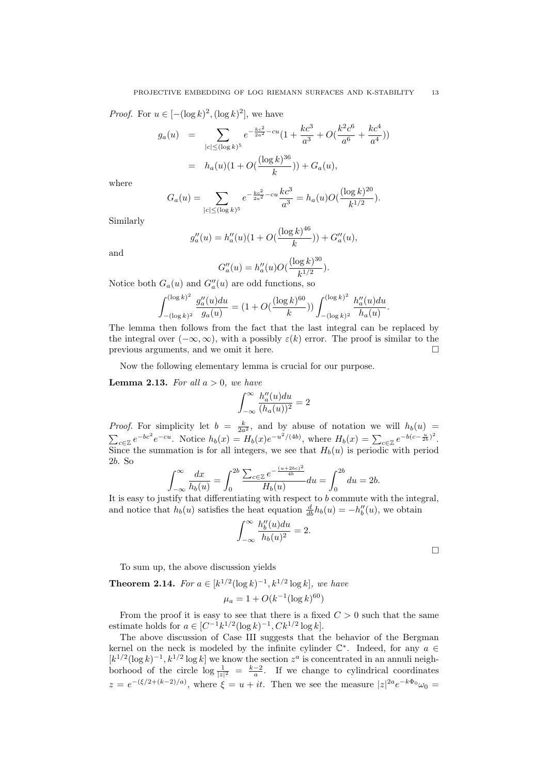*Proof.* For  $u \in [-(\log k)^2, (\log k)^2]$ , we have

$$
g_a(u) = \sum_{|c| \le (\log k)^5} e^{-\frac{kc^2}{2a^2} - cu} \left(1 + \frac{kc^3}{a^3} + O\left(\frac{k^2c^6}{a^6} + \frac{kc^4}{a^4}\right)\right)
$$

$$
= h_a(u)\left(1 + O\left(\frac{(\log k)^{36}}{k}\right)\right) + G_a(u),
$$

where

$$
G_a(u) = \sum_{|c| \le (\log k)^5} e^{-\frac{kc^2}{2a^2} - cu} \frac{kc^3}{a^3} = h_a(u)O(\frac{(\log k)^{20}}{k^{1/2}}).
$$

Similarly

$$
g''_a(u) = h''_a(u)(1 + O(\frac{(\log k)^{46}}{k})) + G''_a(u),
$$

and

$$
G''_a(u) = h''_a(u) O(\frac{(\log k)^{30}}{k^{1/2}}).
$$

Notice both  $G_a(u)$  and  $G''_a(u)$  are odd functions, so

$$
\int_{-(\log k)^2}^{(\log k)^2} \frac{g_a''(u)du}{g_a(u)} = (1 + O(\frac{(\log k)^{60}}{k})) \int_{-(\log k)^2}^{(\log k)^2} \frac{h_a''(u)du}{h_a(u)}.
$$

The lemma then follows from the fact that the last integral can be replaced by the integral over  $(-\infty, \infty)$ , with a possibly  $\varepsilon(k)$  error. The proof is similar to the previous arguments, and we omit it here.

Now the following elementary lemma is crucial for our purpose.

**Lemma 2.13.** For all  $a > 0$ , we have

$$
\int_{-\infty}^{\infty} \frac{h''_a(u)du}{(h_a(u))^2} = 2
$$

*Proof.* For simplicity let  $b = \frac{k}{2a^2}$ , and by abuse of notation we will  $h_b(u)$  $\sum_{c \in \mathbb{Z}} e^{-bc^2} e^{-cu}$ . Notice  $h_b(x) = H_b(x) e^{-u^2/(4b)}$ , where  $H_b(x) = \sum_{c \in \mathbb{Z}} e^{-b(c - \frac{u}{2b})^2}$ . Since the summation is for all integers, we see that  $H_b(u)$  is periodic with period 2b. So

$$
\int_{-\infty}^{\infty} \frac{dx}{h_b(u)} = \int_0^{2b} \frac{\sum_{c \in \mathbb{Z}} e^{-\frac{(u+2bc)^2}{4b}}}{H_b(u)} du = \int_0^{2b} du = 2b.
$$

It is easy to justify that differentiating with respect to  $b$  commute with the integral, and notice that  $h_b(u)$  satisfies the heat equation  $\frac{d}{db}h_b(u) = -h''_b(u)$ , we obtain

$$
\int_{-\infty}^{\infty} \frac{h_b''(u) du}{h_b(u)^2} = 2.
$$

 $\Box$ 

To sum up, the above discussion yields

**Theorem 2.14.** For  $a \in [k^{1/2}(\log k)^{-1}, k^{1/2} \log k]$ , we have

$$
\mu_a = 1 + O(k^{-1} (\log k)^{60})
$$

From the proof it is easy to see that there is a fixed  $C > 0$  such that the same estimate holds for  $a \in [C^{-1}k^{1/2}(\log k)^{-1}, Ck^{1/2}\log k]$ .

The above discussion of Case III suggests that the behavior of the Bergman kernel on the neck is modeled by the infinite cylinder  $\mathbb{C}^*$ . Indeed, for any  $a \in$  $[k^{1/2}(\log k)^{-1}, k^{1/2} \log k]$  we know the section  $z^a$  is concentrated in an annuli neighborhood of the circle  $\log \frac{1}{|z|^2} = \frac{k-2}{a}$ . If we change to cylindrical coordinates  $z = e^{-(\xi/2 + (k-2)/a)}$ , where  $\xi = u + it$ . Then we see the measure  $|z|^{2a}e^{-k\Phi_0}\omega_0 =$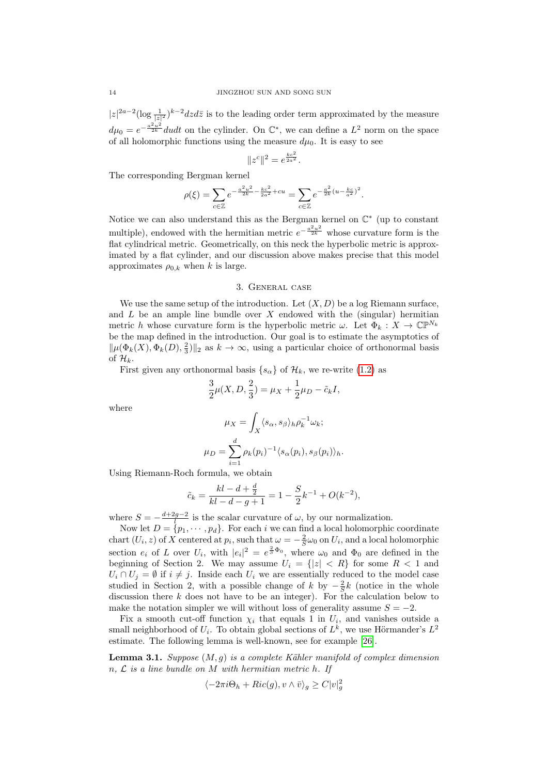$|z|^{2a-2}(\log \frac{1}{|z|^2})^{k-2}dzd\bar{z}$  is to the leading order term approximated by the measure  $d\mu_0 = e^{-\frac{a^2 u^2}{2k}} du dt$  on the cylinder. On  $\mathbb{C}^*$ , we can define a  $L^2$  norm on the space of all holomorphic functions using the measure  $d\mu_0$ . It is easy to see

$$
||z^c||^2 = e^{\frac{kc^2}{2a^2}}.
$$

The corresponding Bergman kernel

$$
\rho(\xi) = \sum_{c \in \mathbb{Z}} e^{-\frac{a^2 u^2}{2k} - \frac{kc^2}{2a^2} + cu} = \sum_{c \in \mathbb{Z}} e^{-\frac{a^2}{2k}(u - \frac{kc}{a^2})^2}.
$$

Notice we can also understand this as the Bergman kernel on  $\mathbb{C}^*$  (up to constant multiple), endowed with the hermitian metric  $e^{-\frac{a^2 u^2}{2k}}$  whose curvature form is the flat cylindrical metric. Geometrically, on this neck the hyperbolic metric is approximated by a flat cylinder, and our discussion above makes precise that this model approximates  $\rho_{0,k}$  when k is large.

### 3. General case

We use the same setup of the introduction. Let  $(X, D)$  be a log Riemann surface, and  $L$  be an ample line bundle over  $X$  endowed with the (singular) hermitian metric h whose curvature form is the hyperbolic metric  $\omega$ . Let  $\Phi_k : X \to \mathbb{CP}^{N_k}$ be the map defined in the introduction. Our goal is to estimate the asymptotics of  $\|\mu(\Phi_k(X), \Phi_k(D), \frac{2}{3})\|_2$  as  $k \to \infty$ , using a particular choice of orthonormal basis of  $\mathcal{H}_k$ .

First given any orthonormal basis  $\{s_{\alpha}\}\$  of  $\mathcal{H}_k$ , we re-write [\(1.2\)](#page-3-0) as

$$
\frac{3}{2}\mu(X, D, \frac{2}{3}) = \mu_X + \frac{1}{2}\mu_D - \tilde{c}_k I,
$$

where

$$
\mu_X = \int_X \langle s_\alpha, s_\beta \rangle_h \rho_k^{-1} \omega_k;
$$

$$
\mu_D = \sum_{i=1}^d \rho_k(p_i)^{-1} \langle s_\alpha(p_i), s_\beta(p_i) \rangle_h.
$$

Using Riemann-Roch formula, we obtain

$$
\tilde{c}_k = \frac{kl - d + \frac{d}{2}}{kl - d - g + 1} = 1 - \frac{S}{2}k^{-1} + O(k^{-2}),
$$

where  $S = -\frac{d+2g-2}{l}$  is the scalar curvature of  $\omega$ , by our normalization.

Now let  $D = \{p_1, \dots, p_d\}$ . For each i we can find a local holomorphic coordinate chart  $(U_i, z)$  of X centered at  $p_i$ , such that  $\omega = -\frac{2}{S}\omega_0$  on  $U_i$ , and a local holomorphic section  $e_i$  of L over  $U_i$ , with  $|e_i|^2 = e^{\frac{2}{5}\Phi_0}$ , where  $\omega_0$  and  $\Phi_0$  are defined in the beginning of Section 2. We may assume  $U_i = \{ |z| < R \}$  for some  $R < 1$  and  $U_i \cap U_j = \emptyset$  if  $i \neq j$ . Inside each  $U_i$  we are essentially reduced to the model case studied in Section 2, with a possible change of k by  $-\frac{2}{5}k$  (notice in the whole discussion there  $k$  does not have to be an integer). For the calculation below to make the notation simpler we will without loss of generality assume  $S = -2$ .

Fix a smooth cut-off function  $\chi_i$  that equals 1 in  $U_i$ , and vanishes outside a small neighborhood of  $U_i$ . To obtain global sections of  $L^k$ , we use Hörmander's  $L^2$ estimate. The following lemma is well-known, see for example [\[26\]](#page-21-16).

**Lemma 3.1.** Suppose  $(M, g)$  is a complete Kähler manifold of complex dimension  $n, \mathcal{L}$  is a line bundle on M with hermitian metric h. If

$$
\langle -2\pi i \Theta_h + Ric(g), v \wedge \bar{v} \rangle_g \ge C|v|_g^2
$$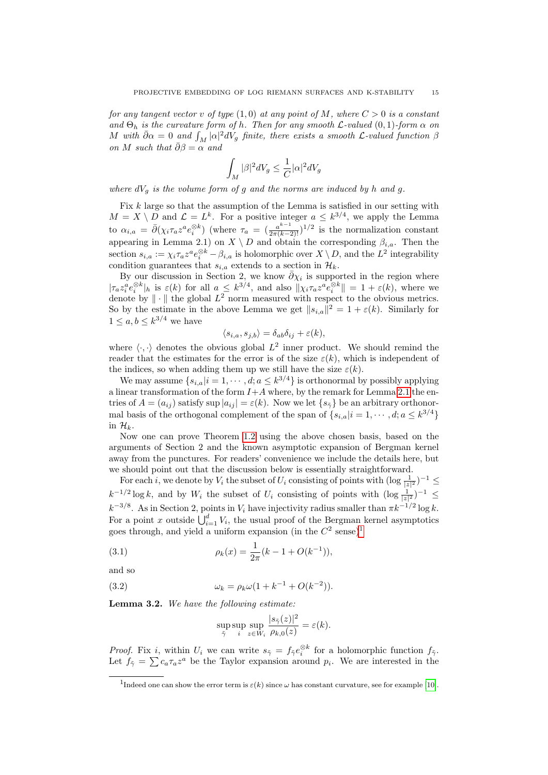for any tangent vector v of type  $(1,0)$  at any point of M, where  $C > 0$  is a constant and  $\Theta_h$  is the curvature form of h. Then for any smooth  $\mathcal{L}\text{-}valued(0,1)$ -form  $\alpha$  on M with  $\bar{\partial}\alpha = 0$  and  $\int_M |\alpha|^2 dV_g$  finite, there exists a smooth L-valued function  $\beta$ on M such that  $\bar{\partial}\beta = \alpha$  and

$$
\int_M |\beta|^2 dV_g \leq \frac{1}{C} |\alpha|^2 dV_g
$$

where  $dV_q$  is the volume form of g and the norms are induced by h and g.

Fix k large so that the assumption of the Lemma is satisfied in our setting with  $M = X \setminus D$  and  $\mathcal{L} = L^k$ . For a positive integer  $a \leq k^{3/4}$ , we apply the Lemma to  $\alpha_{i,a} = \bar{\partial}(\chi_i \tau_a z^a e_i^{\otimes k})$  (where  $\tau_a = (\frac{a^{k-1}}{2\pi(k-2)!})^{1/2}$  is the normalization constant appearing in Lemma 2.1) on  $X \setminus D$  and obtain the corresponding  $\beta_{i,a}$ . Then the section  $s_{i,a} := \chi_i \tau_a z^a e_i^{\otimes k} - \beta_{i,a}$  is holomorphic over  $X \setminus D$ , and the  $L^2$  integrability condition guarantees that  $s_{i,a}$  extends to a section in  $\mathcal{H}_k$ .

By our discussion in Section 2, we know  $\bar{\partial}\chi_i$  is supported in the region where  $|\tau_a z_i^a e_i^{\otimes k}|_h$  is  $\varepsilon(k)$  for all  $a \leq k^{3/4}$ , and also  $\|\chi_i \tau_a z^a e_i^{\otimes k}\| = 1 + \varepsilon(k)$ , where we denote by  $\|\cdot\|$  the global  $L^2$  norm measured with respect to the obvious metrics. So by the estimate in the above Lemma we get  $||s_{i,a}||^2 = 1 + \varepsilon(k)$ . Similarly for  $1 \leq a, b \leq k^{3/4}$  we have

$$
\langle s_{i,a}, s_{j,b} \rangle = \delta_{ab} \delta_{ij} + \varepsilon(k),
$$

where  $\langle \cdot, \cdot \rangle$  denotes the obvious global  $L^2$  inner product. We should remind the reader that the estimates for the error is of the size  $\varepsilon(k)$ , which is independent of the indices, so when adding them up we still have the size  $\varepsilon(k)$ .

We may assume  $\{s_{i,a}|i=1,\cdots,d; a \leq k^{3/4}\}\$ is orthonormal by possibly applying a linear transformation of the form  $I+A$  where, by the remark for Lemma [2.1](#page-4-0) the entries of  $A = (a_{ij})$  satisfy sup  $|a_{ij}| = \varepsilon(k)$ . Now we let  $\{s_{\tilde{\gamma}}\}$  be an arbitrary orthonormal basis of the orthogonal complement of the span of  $\{s_{i,a}|i=1,\dots,d; a \leq k^{3/4}\}\$ in  $\mathcal{H}_k$ .

Now one can prove Theorem [1.2](#page-2-1) using the above chosen basis, based on the arguments of Section 2 and the known asymptotic expansion of Bergman kernel away from the punctures. For readers' convenience we include the details here, but we should point out that the discussion below is essentially straightforward.

For each i, we denote by  $V_i$  the subset of  $U_i$  consisting of points with  $(\log \frac{1}{|z|^2})^{-1} \leq$  $k^{-1/2}\log k$ , and by  $W_i$  the subset of  $U_i$  consisting of points with  $(\log \frac{1}{|z|^2})^{-1} \leq$  $k^{-3/8}$ . As in Section 2, points in  $V_i$  have injectivity radius smaller than  $\pi k^{-1/2} \log k$ . For a point x outside  $\bigcup_{i=1}^d V_i$ , the usual proof of the Bergman kernel asymptotics goes through, and yield a uniform expansion (in the  $C^2$  sense)<sup>[1](#page-14-0)</sup>

(3.1) 
$$
\rho_k(x) = \frac{1}{2\pi} (k - 1 + O(k^{-1})),
$$

and so

(3.2) 
$$
\omega_k = \rho_k \omega (1 + k^{-1} + O(k^{-2})).
$$

<span id="page-14-1"></span>Lemma 3.2. We have the following estimate:

<span id="page-14-3"></span><span id="page-14-2"></span>
$$
\sup_{\tilde{\gamma}} \sup_{i} \sup_{z \in W_i} \frac{|s_{\tilde{\gamma}}(z)|^2}{\rho_{k,0}(z)} = \varepsilon(k).
$$

*Proof.* Fix i, within  $U_i$  we can write  $s_{\tilde{\gamma}} = f_{\tilde{\gamma}} e_i^{\otimes k}$  for a holomorphic function  $f_{\tilde{\gamma}}$ . Let  $f_{\tilde{\gamma}} = \sum c_a \tau_a z^a$  be the Taylor expansion around  $p_i$ . We are interested in the

<span id="page-14-0"></span><sup>&</sup>lt;sup>1</sup>Indeed one can show the error term is  $\varepsilon(k)$  since  $\omega$  has constant curvature, see for example [\[10\]](#page-21-18).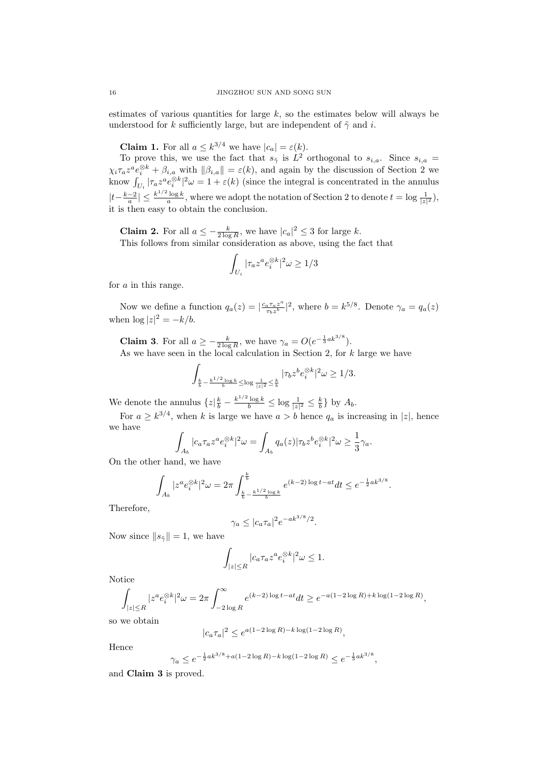estimates of various quantities for large  $k$ , so the estimates below will always be understood for k sufficiently large, but are independent of  $\tilde{\gamma}$  and i.

**Claim 1.** For all  $a \leq k^{3/4}$  we have  $|c_a| = \varepsilon(k)$ .

To prove this, we use the fact that  $s_{\tilde{\gamma}}$  is  $L^2$  orthogonal to  $s_{i,a}$ . Since  $s_{i,a}$  $\chi_i \tau_a z^a e_i^{\otimes k} + \beta_{i,a}$  with  $\|\beta_{i,a}\| = \varepsilon(k)$ , and again by the discussion of Section 2 we know  $\int_{U_i} |\tau_a z^a e_i^{\otimes k}|^2 \omega = 1 + \varepsilon(k)$  (since the integral is concentrated in the annulus  $|t-\frac{k-2}{a}| \leq \frac{k^{1/2}\log k}{a}$ , where we adopt the notation of Section 2 to denote  $t = \log \frac{1}{|z|^2}$ , it is then easy to obtain the conclusion.

**Claim 2.** For all  $a \leq -\frac{k}{2 \log R}$ , we have  $|c_a|^2 \leq 3$  for large k. This follows from similar consideration as above, using the fact that

$$
\int_{U_i} |\tau_a z^a e_i^{\otimes k}|^2 \omega \ge 1/3
$$

for a in this range.

Now we define a function  $q_a(z) = \left| \frac{c_a \tau_a z^a}{\tau_b z^b} \right|$  $rac{a^{\tau}a^{2^a}}{\tau_b z^b}$  |<sup>2</sup>, where  $b = k^{5/8}$ . Denote  $\gamma_a = q_a(z)$ when  $\log |z|^2 = -k/b$ .

**Claim 3.** For all  $a \geq -\frac{k}{2\log R}$ , we have  $\gamma_a = O(e^{-\frac{1}{3}ak^{3/8}})$ . As we have seen in the local calculation in Section 2, for k large we have

$$
\int_{\frac{k}{b}-\frac{k^{1/2}\log k}{b}\leq \log\frac{1}{|z|^2}\leq\frac{k}{b}}|\tau_bz^be_i^{\otimes k}|^2\omega\geq 1/3.
$$

We denote the annulus  $\{z|\frac{k}{b} - \frac{k^{1/2}\log k}{b} \leq \log \frac{1}{|z|^2} \leq \frac{k}{b}\}$  by  $A_b$ .

For  $a \geq k^{3/4}$ , when k is large we have  $a > b$  hence  $q_a$  is increasing in |z|, hence we have

$$
\int_{A_b} |c_a \tau_a z^a e_i^{\otimes k}|^2 \omega = \int_{A_b} q_a(z) |\tau_b z^b e_i^{\otimes k}|^2 \omega \ge \frac{1}{3} \gamma_a.
$$

On the other hand, we have

$$
\int_{A_b} |z^a e_i^{\otimes k}|^2 \omega = 2\pi \int_{\frac{k}{b} - \frac{k^{1/2} \log k}{b}}^{\frac{k}{b}} e^{(k-2) \log t - at} dt \le e^{-\frac{1}{2}ak^{3/8}}.
$$

Therefore,

$$
\gamma_a \le |c_a \tau_a|^2 e^{-ak^{3/8}/2}.
$$

Now since  $||s_{\tilde{\gamma}}|| = 1$ , we have

$$
\int_{|z| \le R} |c_a \tau_a z^a e_i^{\otimes k}|^2 \omega \le 1.
$$

Notice

$$
\int_{|z| \le R} |z^a e_i^{\otimes k}|^2 \omega = 2\pi \int_{-2\log R}^{\infty} e^{(k-2)\log t - at} dt \ge e^{-a(1-2\log R) + k\log(1-2\log R)},
$$

so we obtain

$$
|c_a \tau_a|^2 \le e^{a(1-2\log R) - k\log(1-2\log R)},
$$

Hence

$$
\gamma_a \leq e^{-\frac{1}{2} a k^{3/8} + a(1 - 2 \log R) - k \log(1 - 2 \log R)} \leq e^{-\frac{1}{3} a k^{3/8}}
$$

,

and Claim 3 is proved.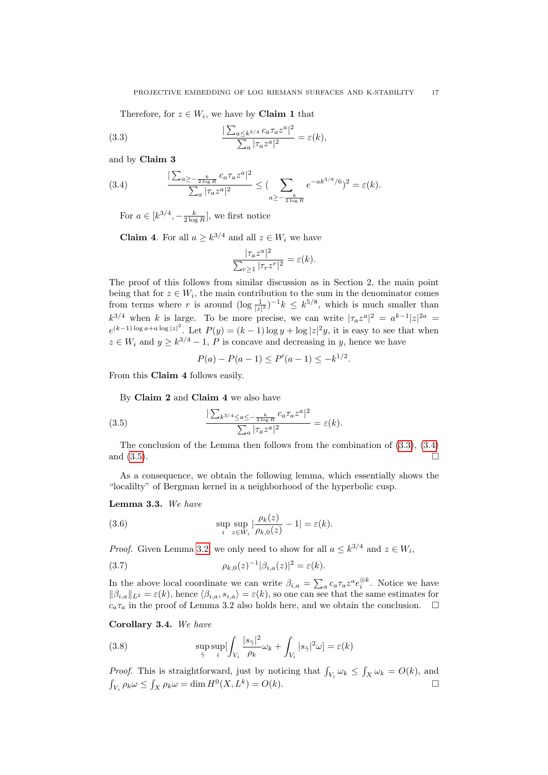<span id="page-16-0"></span>Therefore, for  $z \in W_i$ , we have by **Claim 1** that

(3.3) 
$$
\frac{|\sum_{a\leq k^{3/4}} c_a \tau_a z^a|^2}{\sum_a |\tau_a z^a|^2} = \varepsilon(k),
$$

and by Claim 3

(3.4) 
$$
\frac{\sum_{a \ge -\frac{k}{2 \log R}} c_a \tau_a z^a|^2}{\sum_a |\tau_a z^a|^2} \le (\sum_{a \ge -\frac{k}{2 \log R}} e^{-ak^{3/8}/6})^2 = \varepsilon(k).
$$

<span id="page-16-1"></span>For  $a \in [k^{3/4}, -\frac{k}{2 \log R}]$ , we first notice

**Claim 4.** For all  $a \geq k^{3/4}$  and all  $z \in W_i$  we have

$$
\frac{|\tau_a z^a|^2}{\sum_{r\geq 1} |\tau_r z^r|^2} = \varepsilon(k).
$$

The proof of this follows from similar discussion as in Section 2, the main point being that for  $z \in W_i$ , the main contribution to the sum in the denominator comes from terms where r is around  $(\log \frac{1}{|z|^2})^{-1}k \leq k^{5/8}$ , which is much smaller than  $k^{3/4}$  when k is large. To be more precise, we can write  $|\tau_a z^a|^2 = a^{k-1} |z|^{2a} =$  $e^{(k-1)\log a + a\log|z|^2}$ . Let  $P(y) = (k-1)\log y + \log|z|^2y$ , it is easy to see that when  $z \in W_i$  and  $y \geq k^{3/4} - 1$ , P is concave and decreasing in y, hence we have

<span id="page-16-2"></span>
$$
P(a) - P(a - 1) \le P'(a - 1) \le -k^{1/2}.
$$

From this Claim 4 follows easily.

By Claim 2 and Claim 4 we also have

(3.5) 
$$
\frac{\sum_{k^{3/4} \le a \le -\frac{k}{2\log R}} c_a \tau_a z^a|^2}{\sum_a |\tau_a z^a|^2} = \varepsilon(k).
$$

The conclusion of the Lemma then follows from the combination of [\(3.3\)](#page-16-0), [\(3.4\)](#page-16-1) and  $(3.5)$ .

As a consequence, we obtain the following lemma, which essentially shows the "localilty" of Bergman kernel in a neighborhood of the hyperbolic cusp.

<span id="page-16-6"></span>Lemma 3.3. We have

<span id="page-16-4"></span>(3.6) 
$$
\sup_{i} \sup_{z \in W_i} |\frac{\rho_k(z)}{\rho_{k,0}(z)} - 1| = \varepsilon(k).
$$

<span id="page-16-5"></span>*Proof.* Given Lemma [3.2,](#page-14-1) we only need to show for all  $a \leq k^{3/4}$  and  $z \in W_i$ ,

(3.7) 
$$
\rho_{k,0}(z)^{-1}|\beta_{i,a}(z)|^2 = \varepsilon(k).
$$

In the above local coordinate we can write  $\beta_{i,a} = \sum_a c_a \tau_a z^a e_i^{\otimes k}$ . Notice we have  $\|\beta_{i,a}\|_{L^2} = \varepsilon(k)$ , hence  $\langle \beta_{i,a}, s_{i,a} \rangle = \varepsilon(k)$ , so one can see that the same estimates for  $c_a\tau_a$  in the proof of Lemma 3.2 also holds here, and we obtain the conclusion.  $\Box$ 

Corollary 3.4. We have

<span id="page-16-3"></span>(3.8) 
$$
\sup_{\tilde{\gamma}} \sup_{i} \left[ \int_{V_i} \frac{|s_{\tilde{\gamma}}|^2}{\rho_k} \omega_k + \int_{V_i} |s_{\tilde{\gamma}}|^2 \omega \right] = \varepsilon(k)
$$

*Proof.* This is straightforward, just by noticing that  $\int_{V_i} \omega_k \leq \int_X \omega_k = O(k)$ , and  $\int_{V_i} \rho_k \omega \le \int_X \rho_k \omega = \dim H^0(X, L^k) = O(k).$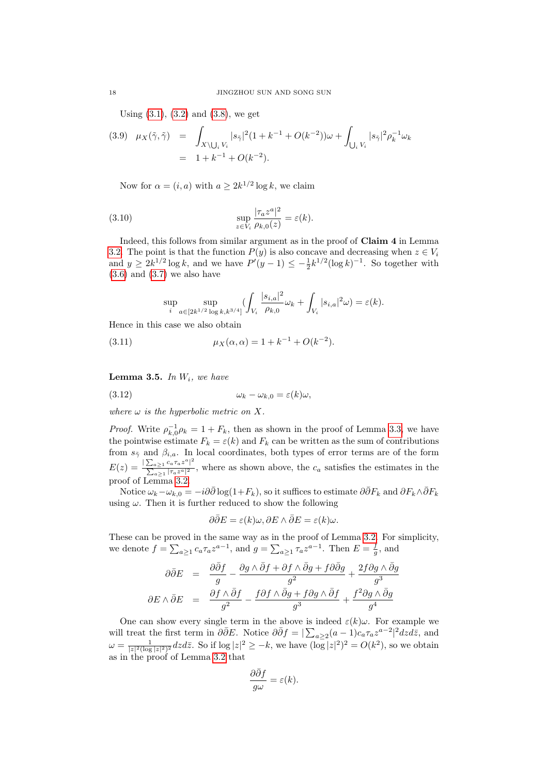<span id="page-17-0"></span>Using  $(3.1)$ ,  $(3.2)$  and  $(3.8)$ , we get

$$
(3.9) \quad \mu_X(\tilde{\gamma}, \tilde{\gamma}) = \int_{X \setminus \bigcup_i V_i} |s_{\tilde{\gamma}}|^2 (1 + k^{-1} + O(k^{-2})) \omega + \int_{\bigcup_i V_i} |s_{\tilde{\gamma}}|^2 \rho_k^{-1} \omega_k
$$

$$
= 1 + k^{-1} + O(k^{-2}).
$$

Now for  $\alpha = (i, a)$  with  $a \geq 2k^{1/2} \log k$ , we claim

(3.10) 
$$
\sup_{z \in V_i} \frac{|\tau_a z^a|^2}{\rho_{k,0}(z)} = \varepsilon(k).
$$

Indeed, this follows from similar argument as in the proof of Claim 4 in Lemma [3.2.](#page-14-1) The point is that the function  $P(y)$  is also concave and decreasing when  $z \in V_i$ and  $y \ge 2k^{1/2} \log k$ , and we have  $P'(y-1) \le -\frac{1}{2} k^{1/2} (\log k)^{-1}$ . So together with  $(3.6)$  and  $(3.7)$  we also have

<span id="page-17-1"></span>
$$
\sup_{i} \sup_{a \in [2k^{1/2} \log k, k^{3/4}]} \left( \int_{V_i} \frac{|s_{i,a}|^2}{\rho_{k,0}} \omega_k + \int_{V_i} |s_{i,a}|^2 \omega \right) = \varepsilon(k).
$$

Hence in this case we also obtain

(3.11) 
$$
\mu_X(\alpha, \alpha) = 1 + k^{-1} + O(k^{-2}).
$$

**Lemma 3.5.** In  $W_i$ , we have

$$
(3.12) \t\t \t\t \omega_k - \omega_{k,0} = \varepsilon(k)\omega,
$$

where  $\omega$  is the hyperbolic metric on X.

*Proof.* Write  $\rho_{k,0}^{-1} \rho_k = 1 + F_k$ , then as shown in the proof of Lemma [3.3,](#page-16-6) we have the pointwise estimate  $F_k = \varepsilon(k)$  and  $F_k$  can be written as the sum of contributions from  $s_{\tilde{\gamma}}$  and  $\beta_{i,a}$ . In local coordinates, both types of error terms are of the form  $E(z) = \frac{\sum_{a \geq 1} c_a \tau_a z^a|^2}{\sum |z - z^a|^2}$  $\frac{\sum_{a\geq 1} c_a a^a a^b}{\sum_{a\geq 1} |\tau_a z^a|^2}$ , where as shown above, the  $c_a$  satisfies the estimates in the proof of Lemma [3.2.](#page-14-1)

Notice  $\omega_k - \omega_{k,0} = -i\partial\bar{\partial}\log(1+F_k)$ , so it suffices to estimate  $\partial \bar{\partial} F_k$  and  $\partial F_k \wedge \bar{\partial} F_k$ using  $\omega$ . Then it is further reduced to show the following

$$
\partial \bar{\partial} E = \varepsilon(k)\omega, \partial E \wedge \bar{\partial} E = \varepsilon(k)\omega.
$$

These can be proved in the same way as in the proof of Lemma [3.2.](#page-14-1) For simplicity, we denote  $f = \sum_{a \geq 1} c_a \tau_a z^{a-1}$ , and  $g = \sum_{a \geq 1} \tau_a z^{a-1}$ . Then  $E = \frac{f}{g}$ , and

$$
\partial \bar{\partial} E = \frac{\partial \bar{\partial} f}{g} - \frac{\partial g \wedge \bar{\partial} f + \partial f \wedge \bar{\partial} g + f \partial \bar{\partial} g}{g^2} + \frac{2f \partial g \wedge \bar{\partial} g}{g^3}
$$

$$
\partial E \wedge \bar{\partial} E = \frac{\partial f \wedge \bar{\partial} f}{g^2} - \frac{f \partial f \wedge \bar{\partial} g + f \partial g \wedge \bar{\partial} f}{g^3} + \frac{f^2 \partial g \wedge \bar{\partial} g}{g^4}
$$

One can show every single term in the above is indeed  $\varepsilon(k)\omega$ . For example we will treat the first term in  $\partial \bar{\partial} E$ . Notice  $\partial \bar{\partial} f = |\sum_{a \geq 2} (a-1)c_a \tau_a z^{a-2}|^2 dz d\bar{z}$ , and  $\omega = \frac{1}{|z|^2 (\log |z|^2)^2} dz d\bar{z}$ . So if  $\log |z|^2 \geq -k$ , we have  $(\log |z|^2)^2 = O(k^2)$ , so we obtain as in the proof of Lemma [3.2](#page-14-1) that

$$
\frac{\partial \bar{\partial}f}{g\omega} = \varepsilon(k).
$$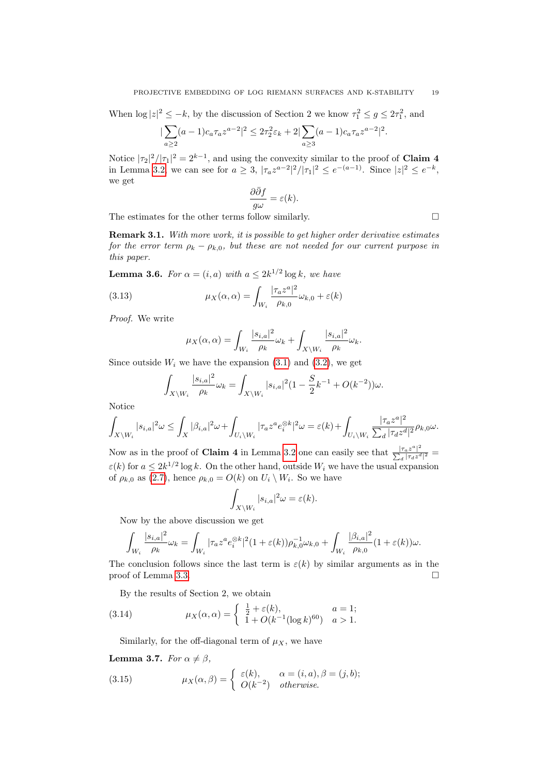When  $\log |z|^2 \leq -k$ , by the discussion of Section 2 we know  $\tau_1^2 \leq g \leq 2\tau_1^2$ , and

$$
|\sum_{a\geq 2} (a-1)c_a \tau_a z^{a-2}|^2 \leq 2\tau_2^2 \varepsilon_k + 2|\sum_{a\geq 3} (a-1)c_a \tau_a z^{a-2}|^2.
$$

Notice  $|\tau_2|^2/|\tau_1|^2 = 2^{k-1}$ , and using the convexity similar to the proof of **Claim 4** in Lemma [3.2,](#page-14-1) we can see for  $a \geq 3$ ,  $|\tau_a z^{a-2}|^2/|\tau_1|^2 \leq e^{-(a-1)}$ . Since  $|z|^2 \leq e^{-k}$ , we get

$$
\frac{\partial \bar{\partial}f}{g\omega} = \varepsilon(k).
$$

The estimates for the other terms follow similarly.  $\Box$ 

Remark 3.1. With more work, it is possible to get higher order derivative estimates for the error term  $\rho_k - \rho_{k,0}$ , but these are not needed for our current purpose in this paper.

**Lemma 3.6.** For  $\alpha = (i, a)$  with  $a \leq 2k^{1/2} \log k$ , we have

(3.13) 
$$
\mu_X(\alpha, \alpha) = \int_{W_i} \frac{|\tau_a z^a|^2}{\rho_{k,0}} \omega_{k,0} + \varepsilon(k)
$$

Proof. We write

$$
\mu_X(\alpha,\alpha) = \int_{W_i} \frac{|s_{i,a}|^2}{\rho_k} \omega_k + \int_{X \setminus W_i} \frac{|s_{i,a}|^2}{\rho_k} \omega_k.
$$

Since outside  $W_i$  we have the expansion [\(3.1\)](#page-14-2) and [\(3.2\)](#page-14-3), we get

$$
\int_{X\setminus W_i} \frac{|s_{i,a}|^2}{\rho_k} \omega_k = \int_{X\setminus W_i} |s_{i,a}|^2 (1 - \frac{S}{2}k^{-1} + O(k^{-2})) \omega.
$$

Notice

$$
\int_{X\backslash W_i}|s_{i,a}|^2\omega\leq \int_X|\beta_{i,a}|^2\omega+\int_{U_i\backslash W_i}|\tau_{a}z^ae_i^{\otimes k}|^2\omega=\varepsilon(k)+\int_{U_i\backslash W_i}\frac{|\tau_{a}z^a|^2}{\sum_d|\tau_{d}z^d|^2}\rho_{k,0}\omega.
$$

Now as in the proof of **Claim 4** in Lemma [3.2](#page-14-1) one can easily see that  $\frac{|\tau_{a}z^{a}|^{2}}{\sum |\tau_{a}z^{a}|^{2}}$  $\frac{|\tau_a z^-|}{\sum_d |\tau_d z^d|^2} =$  $\varepsilon(k)$  for  $a \leq 2k^{1/2} \log k$ . On the other hand, outside  $W_i$  we have the usual expansion of  $\rho_{k,0}$  as [\(2.7\)](#page-6-1), hence  $\rho_{k,0} = O(k)$  on  $U_i \setminus W_i$ . So we have

$$
\int_{X\setminus W_i} |s_{i,a}|^2 \omega = \varepsilon(k).
$$

Now by the above discussion we get

$$
\int_{W_i} \frac{|s_{i,a}|^2}{\rho_k} \omega_k = \int_{W_i} |\tau_a z^a e_i^{\otimes k}|^2 (1 + \varepsilon(k)) \rho_{k,0}^{-1} \omega_{k,0} + \int_{W_i} \frac{|\beta_{i,a}|^2}{\rho_{k,0}} (1 + \varepsilon(k)) \omega.
$$

The conclusion follows since the last term is  $\varepsilon(k)$  by similar arguments as in the proof of Lemma [3.3.](#page-16-6)

<span id="page-18-0"></span>By the results of Section 2, we obtain

(3.14) 
$$
\mu_X(\alpha, \alpha) = \begin{cases} \frac{1}{2} + \varepsilon(k), & a = 1; \\ 1 + O(k^{-1}(\log k)^{60}) & a > 1. \end{cases}
$$

<span id="page-18-1"></span>Similarly, for the off-diagonal term of  $\mu_X$ , we have

Lemma 3.7. For  $\alpha \neq \beta$ ,

(3.15) 
$$
\mu_X(\alpha, \beta) = \begin{cases} \varepsilon(k), & \alpha = (i, a), \beta = (j, b); \\ O(k^{-2}) & otherwise. \end{cases}
$$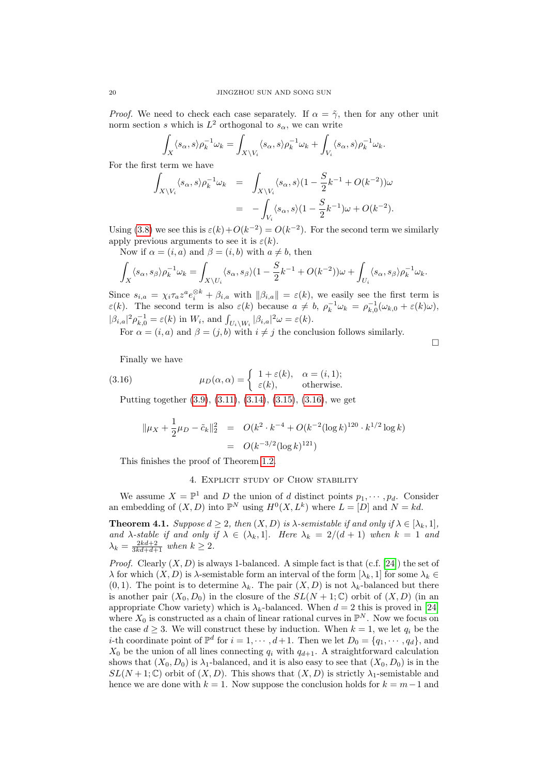*Proof.* We need to check each case separately. If  $\alpha = \tilde{\gamma}$ , then for any other unit norm section s which is  $L^2$  orthogonal to  $s_\alpha$ , we can write

$$
\int_X \langle s_\alpha, s \rangle \rho_k^{-1} \omega_k = \int_{X \setminus V_i} \langle s_\alpha, s \rangle \rho_k^{-1} \omega_k + \int_{V_i} \langle s_\alpha, s \rangle \rho_k^{-1} \omega_k.
$$

For the first term we have

$$
\int_{X\setminus V_i} \langle s_\alpha, s \rangle \rho_k^{-1} \omega_k = \int_{X\setminus V_i} \langle s_\alpha, s \rangle (1 - \frac{S}{2} k^{-1} + O(k^{-2})) \omega
$$
  
= 
$$
- \int_{V_i} \langle s_\alpha, s \rangle (1 - \frac{S}{2} k^{-1}) \omega + O(k^{-2}).
$$

Using [\(3.8\)](#page-16-3) we see this is  $\varepsilon(k) + O(k^{-2}) = O(k^{-2})$ . For the second term we similarly apply previous arguments to see it is  $\varepsilon(k)$ .

Now if  $\alpha = (i, a)$  and  $\beta = (i, b)$  with  $a \neq b$ , then

$$
\int_X \langle s_\alpha, s_\beta \rangle \rho_k^{-1} \omega_k = \int_{X \backslash U_i} \langle s_\alpha, s_\beta \rangle (1 - \frac{S}{2} k^{-1} + O(k^{-2})) \omega + \int_{U_i} \langle s_\alpha, s_\beta \rangle \rho_k^{-1} \omega_k.
$$

Since  $s_{i,a} = \chi_i \tau_a z^a e_i^{\otimes k} + \beta_{i,a}$  with  $\|\beta_{i,a}\| = \varepsilon(k)$ , we easily see the first term is  $\varepsilon(k)$ . The second term is also  $\varepsilon(k)$  because  $a \neq b$ ,  $\rho_k^{-1} \omega_k = \rho_{k,0}^{-1}(\omega_{k,0} + \varepsilon(k)\omega)$ ,  $|\beta_{i,a}|^2 \rho_{k,0}^{-1} = \varepsilon(k)$  in  $W_i$ , and  $\int_{U_i \backslash W_i} |\beta_{i,a}|^2 \omega = \varepsilon(k)$ .

For  $\alpha = (i, a)$  and  $\beta = (j, b)$  with  $i \neq j$  the conclusion follows similarly.

 $\Box$ 

Finally we have

(3.16) 
$$
\mu_D(\alpha, \alpha) = \begin{cases} 1 + \varepsilon(k), & \alpha = (i, 1); \\ \varepsilon(k), & \text{otherwise.} \end{cases}
$$

Putting together [\(3.9\)](#page-17-0), [\(3.11\)](#page-17-1), [\(3.14\)](#page-18-0), [\(3.15\)](#page-18-1), [\(3.16\)](#page-19-0), we get

<span id="page-19-0"></span>
$$
\|\mu_X + \frac{1}{2}\mu_D - \tilde{c}_k\|_2^2 = O(k^2 \cdot k^{-4} + O(k^{-2} (\log k)^{120} \cdot k^{1/2} \log k)
$$
  
=  $O(k^{-3/2} (\log k)^{121})$ 

This finishes the proof of Theorem [1.2.](#page-2-1)

### 4. Explicit study of Chow stability

We assume  $X = \mathbb{P}^1$  and D the union of d distinct points  $p_1, \dots, p_d$ . Consider an embedding of  $(X, D)$  into  $\mathbb{P}^N$  using  $H^0(X, L^k)$  where  $L = [D]$  and  $N = kd$ .

**Theorem 4.1.** Suppose  $d \geq 2$ , then  $(X, D)$  is  $\lambda$ -semistable if and only if  $\lambda \in [\lambda_k, 1]$ , and  $\lambda$ -stable if and only if  $\lambda \in (\lambda_k, 1]$ . Here  $\lambda_k = 2/(d+1)$  when  $k = 1$  and  $\lambda_k = \frac{2kd+2}{3kd+d+1}$  when  $k \geq 2$ .

*Proof.* Clearly  $(X, D)$  is always 1-balanced. A simple fact is that  $(c.f. [24])$  $(c.f. [24])$  $(c.f. [24])$  the set of  $\lambda$  for which  $(X, D)$  is  $\lambda$ -semistable form an interval of the form  $[\lambda_k, 1]$  for some  $\lambda_k \in$  $(0, 1)$ . The point is to determine  $\lambda_k$ . The pair  $(X, D)$  is not  $\lambda_k$ -balanced but there is another pair  $(X_0, D_0)$  in the closure of the  $SL(N + 1; \mathbb{C})$  orbit of  $(X, D)$  (in an appropriate Chow variety) which is  $\lambda_k$ -balanced. When  $d = 2$  this is proved in [\[24\]](#page-21-8) where  $X_0$  is constructed as a chain of linear rational curves in  $\mathbb{P}^N$ . Now we focus on the case  $d > 3$ . We will construct these by induction. When  $k = 1$ , we let  $q_i$  be the *i*-th coordinate point of  $\mathbb{P}^d$  for  $i = 1, \dots, d+1$ . Then we let  $D_0 = \{q_1, \dots, q_d\}$ , and  $X_0$  be the union of all lines connecting  $q_i$  with  $q_{d+1}$ . A straightforward calculation shows that  $(X_0, D_0)$  is  $\lambda_1$ -balanced, and it is also easy to see that  $(X_0, D_0)$  is in the  $SL(N+1;\mathbb{C})$  orbit of  $(X,D)$ . This shows that  $(X,D)$  is strictly  $\lambda_1$ -semistable and hence we are done with  $k = 1$ . Now suppose the conclusion holds for  $k = m-1$  and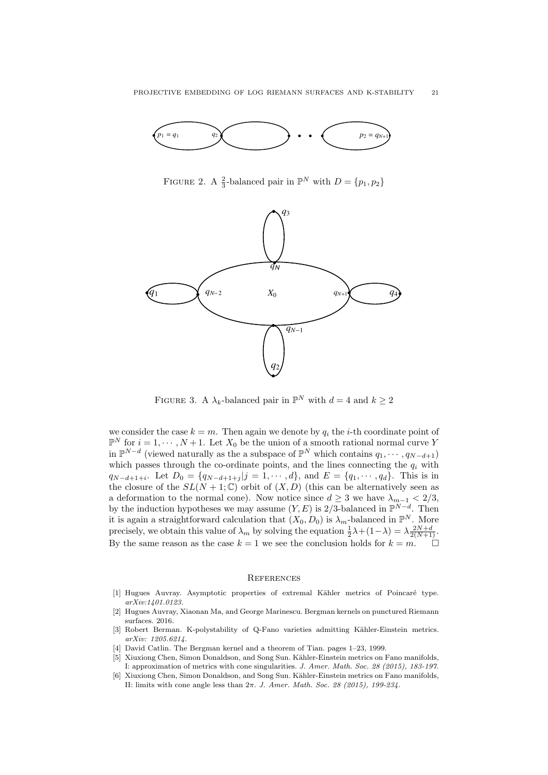

<span id="page-20-4"></span>FIGURE 2. A  $\frac{2}{3}$ -balanced pair in  $\mathbb{P}^N$  with  $D = \{p_1, p_2\}$ 



<span id="page-20-5"></span>FIGURE 3. A  $\lambda_k$ -balanced pair in  $\mathbb{P}^N$  with  $d=4$  and  $k \geq 2$ 

we consider the case  $k = m$ . Then again we denote by  $q_i$  the *i*-th coordinate point of  $\mathbb{P}^N$  for  $i = 1, \dots, N+1$ . Let  $X_0$  be the union of a smooth rational normal curve Y in  $\mathbb{P}^{N-d}$  (viewed naturally as the a subspace of  $\mathbb{P}^N$  which contains  $q_1, \dots, q_{N-d+1}$ ) which passes through the co-ordinate points, and the lines connecting the  $q_i$  with  $q_{N-d+1+i}$ . Let  $D_0 = \{q_{N-d+1+j} | j = 1, \cdots, d\}$ , and  $E = \{q_1, \cdots, q_d\}$ . This is in the closure of the  $SL(N + 1; \mathbb{C})$  orbit of  $(X, D)$  (this can be alternatively seen as a deformation to the normal cone). Now notice since  $d \geq 3$  we have  $\lambda_{m-1} < 2/3$ , by the induction hypotheses we may assume  $(Y, E)$  is 2/3-balanced in  $\mathbb{P}^{N-d}$ . Then it is again a straightforward calculation that  $(X_0, D_0)$  is  $\lambda_m$ -balanced in  $\mathbb{P}^N$ . More precisely, we obtain this value of  $\lambda_m$  by solving the equation  $\frac{1}{2}\lambda + (1-\lambda) = \lambda \frac{2N+d}{2(N+1)}$ . By the same reason as the case  $k = 1$  we see the conclusion holds for  $k = m$ .

#### **REFERENCES**

- <span id="page-20-2"></span>[1] Hugues Auvray. Asymptotic properties of extremal Kähler metrics of Poincaré type. arXiv:1401.0123.
- <span id="page-20-6"></span>[2] Hugues Auvray, Xiaonan Ma, and George Marinescu. Bergman kernels on punctured Riemann surfaces. 2016.
- <span id="page-20-1"></span>[3] Robert Berman. K-polystability of Q-Fano varieties admitting Kähler-Einstein metrics. arXiv: 1205.6214.
- <span id="page-20-3"></span>[4] David Catlin. The Bergman kernel and a theorem of Tian. pages 1–23, 1999.
- <span id="page-20-0"></span>[5] Xiuxiong Chen, Simon Donaldson, and Song Sun. Kähler-Einstein metrics on Fano manifolds, I: approximation of metrics with cone singularities. J. Amer. Math. Soc. 28 (2015), 183-197.
- [6] Xiuxiong Chen, Simon Donaldson, and Song Sun. Kähler-Einstein metrics on Fano manifolds, II: limits with cone angle less than  $2\pi$ . J. Amer. Math. Soc. 28 (2015), 199-234.